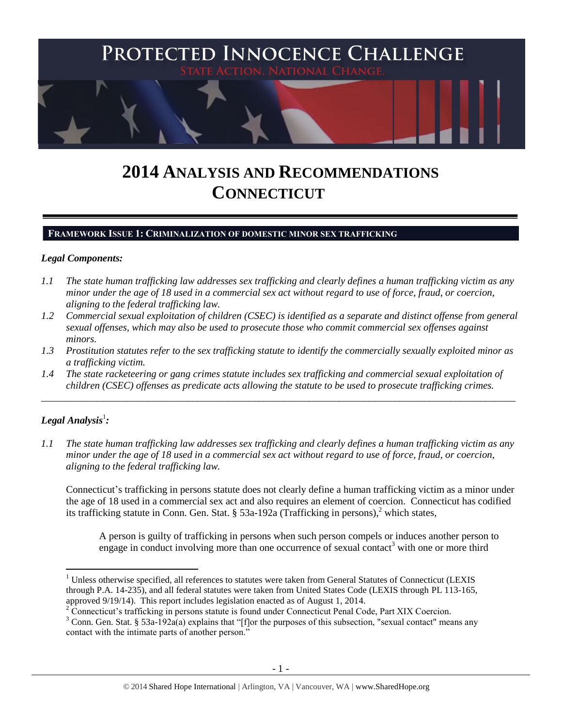

# **2014 ANALYSIS AND RECOMMENDATIONS CONNECTICUT**

#### **FRAMEWORK ISSUE 1: CRIMINALIZATION OF DOMESTIC MINOR SEX TRAFFICKING**

#### *Legal Components:*

- *1.1 The state human trafficking law addresses sex trafficking and clearly defines a human trafficking victim as any minor under the age of 18 used in a commercial sex act without regard to use of force, fraud, or coercion, aligning to the federal trafficking law.*
- *1.2 Commercial sexual exploitation of children (CSEC) is identified as a separate and distinct offense from general sexual offenses, which may also be used to prosecute those who commit commercial sex offenses against minors.*
- *1.3 Prostitution statutes refer to the sex trafficking statute to identify the commercially sexually exploited minor as a trafficking victim.*

\_\_\_\_\_\_\_\_\_\_\_\_\_\_\_\_\_\_\_\_\_\_\_\_\_\_\_\_\_\_\_\_\_\_\_\_\_\_\_\_\_\_\_\_\_\_\_\_\_\_\_\_\_\_\_\_\_\_\_\_\_\_\_\_\_\_\_\_\_\_\_\_\_\_\_\_\_\_\_\_\_\_\_\_\_\_\_\_\_\_\_\_\_\_

*1.4 The state racketeering or gang crimes statute includes sex trafficking and commercial sexual exploitation of children (CSEC) offenses as predicate acts allowing the statute to be used to prosecute trafficking crimes.* 

# $\bm{L}$ egal Analysis $^1$ :

 $\overline{a}$ 

*1.1 The state human trafficking law addresses sex trafficking and clearly defines a human trafficking victim as any minor under the age of 18 used in a commercial sex act without regard to use of force, fraud, or coercion, aligning to the federal trafficking law.*

Connecticut's trafficking in persons statute does not clearly define a human trafficking victim as a minor under the age of 18 used in a commercial sex act and also requires an element of coercion. Connecticut has codified its trafficking statute in Conn. Gen. Stat. § 53a-192a (Trafficking in persons), <sup>2</sup> which states,

A person is guilty of trafficking in persons when such person compels or induces another person to engage in conduct involving more than one occurrence of sexual contact<sup>3</sup> with one or more third

<sup>&</sup>lt;sup>1</sup> Unless otherwise specified, all references to statutes were taken from General Statutes of Connecticut (LEXIS through P.A. 14-235), and all federal statutes were taken from United States Code (LEXIS through PL 113-165, approved 9/19/14). This report includes legislation enacted as of August 1, 2014.

<sup>2</sup> Connecticut's trafficking in persons statute is found under Connecticut Penal Code, Part XIX Coercion.

<sup>&</sup>lt;sup>3</sup> Conn. Gen. Stat. § 53a-192a(a) explains that "[f]or the purposes of this subsection, "sexual contact" means any contact with the intimate parts of another person."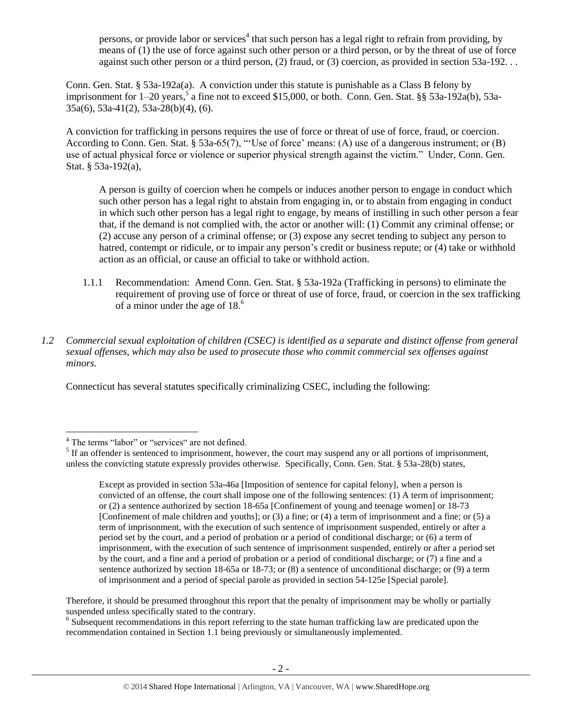persons, or provide labor or services<sup>4</sup> that such person has a legal right to refrain from providing, by means of (1) the use of force against such other person or a third person, or by the threat of use of force against such other person or a third person, (2) fraud, or (3) coercion, as provided in section 53a-192. . .

Conn. Gen. Stat. § 53a-192a(a). A conviction under this statute is punishable as a Class B felony by imprisonment for 1–20 years,<sup>5</sup> a fine not to exceed \$15,000, or both. Conn. Gen. Stat. §§ 53a-192a(b), 53a-35a(6), 53a-41(2), 53a-28(b)(4), (6).

A conviction for trafficking in persons requires the use of force or threat of use of force, fraud, or coercion. According to Conn. Gen. Stat. § 53a-65(7), "'Use of force' means: (A) use of a dangerous instrument; or (B) use of actual physical force or violence or superior physical strength against the victim." Under, Conn. Gen. Stat. § 53a-192(a),

A person is guilty of coercion when he compels or induces another person to engage in conduct which such other person has a legal right to abstain from engaging in, or to abstain from engaging in conduct in which such other person has a legal right to engage, by means of instilling in such other person a fear that, if the demand is not complied with, the actor or another will: (1) Commit any criminal offense; or (2) accuse any person of a criminal offense; or (3) expose any secret tending to subject any person to hatred, contempt or ridicule, or to impair any person's credit or business repute; or (4) take or withhold action as an official, or cause an official to take or withhold action.

- 1.1.1 Recommendation: Amend Conn. Gen. Stat. § 53a-192a (Trafficking in persons) to eliminate the requirement of proving use of force or threat of use of force, fraud, or coercion in the sex trafficking of a minor under the age of 18. 6
- *1.2 Commercial sexual exploitation of children (CSEC) is identified as a separate and distinct offense from general sexual offenses, which may also be used to prosecute those who commit commercial sex offenses against minors.*

Connecticut has several statutes specifically criminalizing CSEC, including the following:

Therefore, it should be presumed throughout this report that the penalty of imprisonment may be wholly or partially suspended unless specifically stated to the contrary.

<sup>6</sup> Subsequent recommendations in this report referring to the state human trafficking law are predicated upon the recommendation contained in Section 1.1 being previously or simultaneously implemented.

 $\overline{a}$ <sup>4</sup> The terms "labor" or "services" are not defined.

 $<sup>5</sup>$  If an offender is sentenced to imprisonment, however, the court may suspend any or all portions of imprisonment,</sup> unless the convicting statute expressly provides otherwise. Specifically, Conn. Gen. Stat. § 53a-28(b) states,

Except as provided in section 53a-46a [Imposition of sentence for capital felony], when a person is convicted of an offense, the court shall impose one of the following sentences: (1) A term of imprisonment; or (2) a sentence authorized by section 18-65a [Confinement of young and teenage women] or 18-73 [Confinement of male children and youths]; or (3) a fine; or (4) a term of imprisonment and a fine; or (5) a term of imprisonment, with the execution of such sentence of imprisonment suspended, entirely or after a period set by the court, and a period of probation or a period of conditional discharge; or (6) a term of imprisonment, with the execution of such sentence of imprisonment suspended, entirely or after a period set by the court, and a fine and a period of probation or a period of conditional discharge; or (7) a fine and a sentence authorized by section 18-65a or 18-73; or (8) a sentence of unconditional discharge; or (9) a term of imprisonment and a period of special parole as provided in section 54-125e [Special parole].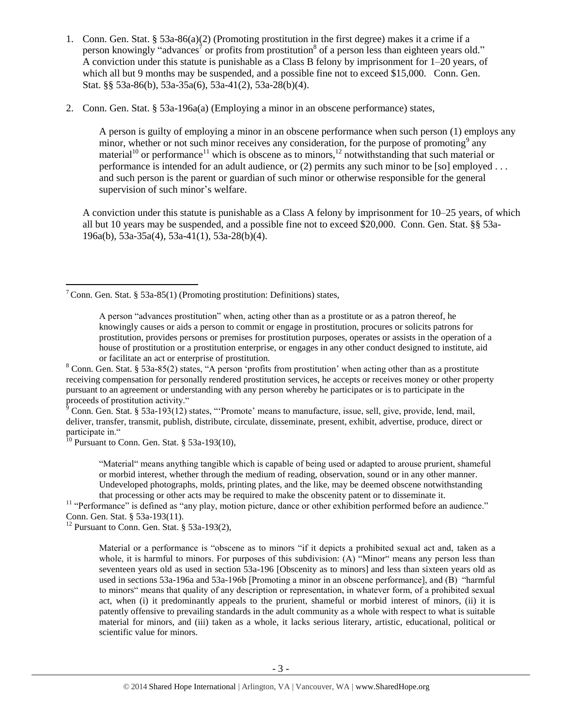- 1. Conn. Gen. Stat. § 53a-86(a)(2) (Promoting prostitution in the first degree) makes it a crime if a person knowingly "advances<sup>7</sup> or profits from prostitution<sup>8</sup> of a person less than eighteen years old." A conviction under this statute is punishable as a Class B felony by imprisonment for 1–20 years, of which all but 9 months may be suspended, and a possible fine not to exceed \$15,000. Conn. Gen. Stat. §§ 53a-86(b), 53a-35a(6), 53a-41(2), 53a-28(b)(4).
- 2. Conn. Gen. Stat. § 53a-196a(a) (Employing a minor in an obscene performance) states,

<span id="page-2-5"></span><span id="page-2-4"></span><span id="page-2-3"></span><span id="page-2-2"></span><span id="page-2-1"></span><span id="page-2-0"></span>A person is guilty of employing a minor in an obscene performance when such person (1) employs any minor, whether or not such minor receives any consideration, for the purpose of promoting<sup>9</sup> any material<sup>10</sup> or performance<sup>11</sup> which is obscene as to minors,<sup>12</sup> notwithstanding that such material or performance is intended for an adult audience, or (2) permits any such minor to be [so] employed . . . and such person is the parent or guardian of such minor or otherwise responsible for the general supervision of such minor's welfare.

A conviction under this statute is punishable as a Class A felony by imprisonment for 10–25 years, of which all but 10 years may be suspended, and a possible fine not to exceed \$20,000. Conn. Gen. Stat. §§ 53a-196a(b), 53a-35a(4), 53a-41(1), 53a-28(b)(4).

 $\frac{1}{9}$  Conn. Gen. Stat. § 53a-193(12) states, "Promote' means to manufacture, issue, sell, give, provide, lend, mail, deliver, transfer, transmit, publish, distribute, circulate, disseminate, present, exhibit, advertise, produce, direct or participate in."

 $10$  Pursuant to Conn. Gen. Stat. § 53a-193(10),

"Material" means anything tangible which is capable of being used or adapted to arouse prurient, shameful or morbid interest, whether through the medium of reading, observation, sound or in any other manner. Undeveloped photographs, molds, printing plates, and the like, may be deemed obscene notwithstanding that processing or other acts may be required to make the obscenity patent or to disseminate it.

<sup>11</sup> "Performance" is defined as "any play, motion picture, dance or other exhibition performed before an audience." Conn. Gen. Stat. § 53a-193(11).

<sup>12</sup> Pursuant to Conn. Gen. Stat.  $\frac{12}{33a-193(2)}$ ,

Material or a performance is "obscene as to minors "if it depicts a prohibited sexual act and, taken as a whole, it is harmful to minors. For purposes of this subdivision: (A) "Minor" means any person less than seventeen years old as used in section 53a-196 [Obscenity as to minors] and less than sixteen years old as used in sections 53a-196a and 53a-196b [Promoting a minor in an obscene performance], and (B) "harmful to minors" means that quality of any description or representation, in whatever form, of a prohibited sexual act, when (i) it predominantly appeals to the prurient, shameful or morbid interest of minors, (ii) it is patently offensive to prevailing standards in the adult community as a whole with respect to what is suitable material for minors, and (iii) taken as a whole, it lacks serious literary, artistic, educational, political or scientific value for minors.

 $\overline{a}$ <sup>7</sup> Conn. Gen. Stat. § 53a-85(1) (Promoting prostitution: Definitions) states,

A person "advances prostitution" when, acting other than as a prostitute or as a patron thereof, he knowingly causes or aids a person to commit or engage in prostitution, procures or solicits patrons for prostitution, provides persons or premises for prostitution purposes, operates or assists in the operation of a house of prostitution or a prostitution enterprise, or engages in any other conduct designed to institute, aid or facilitate an act or enterprise of prostitution.

<sup>&</sup>lt;sup>8</sup> Conn. Gen. Stat. § 53a-85(2) states, "A person 'profits from prostitution' when acting other than as a prostitute receiving compensation for personally rendered prostitution services, he accepts or receives money or other property pursuant to an agreement or understanding with any person whereby he participates or is to participate in the proceeds of prostitution activity."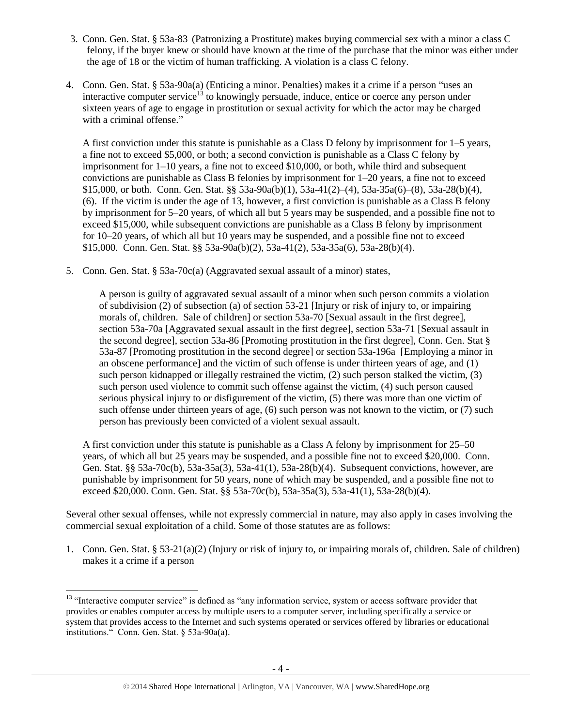- 3. Conn. Gen. Stat. § 53a-83 (Patronizing a Prostitute) makes buying commercial sex with a minor a class C felony, if the buyer knew or should have known at the time of the purchase that the minor was either under the age of 18 or the victim of human trafficking. A violation is a class C felony.
- 4. Conn. Gen. Stat. § 53a-90a(a) (Enticing a minor. Penalties) makes it a crime if a person "uses an interactive computer service<sup>13</sup> to knowingly persuade, induce, entice or coerce any person under sixteen years of age to engage in prostitution or sexual activity for which the actor may be charged with a criminal offense."

<span id="page-3-0"></span>A first conviction under this statute is punishable as a Class D felony by imprisonment for 1–5 years, a fine not to exceed \$5,000, or both; a second conviction is punishable as a Class C felony by imprisonment for 1–10 years, a fine not to exceed \$10,000, or both, while third and subsequent convictions are punishable as Class B felonies by imprisonment for 1–20 years, a fine not to exceed \$15,000, or both. Conn. Gen. Stat. §§ 53a-90a(b)(1), 53a-41(2)–(4), 53a-35a(6)–(8), 53a-28(b)(4), (6). If the victim is under the age of 13, however, a first conviction is punishable as a Class B felony by imprisonment for 5–20 years, of which all but 5 years may be suspended, and a possible fine not to exceed \$15,000, while subsequent convictions are punishable as a Class B felony by imprisonment for 10–20 years, of which all but 10 years may be suspended, and a possible fine not to exceed \$15,000. Conn. Gen. Stat. §§ 53a-90a(b)(2), 53a-41(2), 53a-35a(6), 53a-28(b)(4).

5. Conn. Gen. Stat. § 53a-70c(a) (Aggravated sexual assault of a minor) states,

A person is guilty of aggravated sexual assault of a minor when such person commits a violation of subdivision (2) of subsection (a) of section 53-21 [Injury or risk of injury to, or impairing morals of, children. Sale of children] or section 53a-70 [Sexual assault in the first degree], section 53a-70a [Aggravated sexual assault in the first degree], section 53a-71 [Sexual assault in the second degree], section 53a-86 [Promoting prostitution in the first degree], Conn. Gen. Stat § 53a-87 [Promoting prostitution in the second degree] or section 53a-196a [Employing a minor in an obscene performance] and the victim of such offense is under thirteen years of age, and (1) such person kidnapped or illegally restrained the victim, (2) such person stalked the victim, (3) such person used violence to commit such offense against the victim, (4) such person caused serious physical injury to or disfigurement of the victim, (5) there was more than one victim of such offense under thirteen years of age, (6) such person was not known to the victim, or (7) such person has previously been convicted of a violent sexual assault.

A first conviction under this statute is punishable as a Class A felony by imprisonment for 25–50 years, of which all but 25 years may be suspended, and a possible fine not to exceed \$20,000. Conn. Gen. Stat. §§ 53a-70c(b), 53a-35a(3), 53a-41(1), 53a-28(b)(4). Subsequent convictions, however, are punishable by imprisonment for 50 years, none of which may be suspended, and a possible fine not to exceed \$20,000. Conn. Gen. Stat. §§ 53a-70c(b), 53a-35a(3), 53a-41(1), 53a-28(b)(4).

Several other sexual offenses, while not expressly commercial in nature, may also apply in cases involving the commercial sexual exploitation of a child. Some of those statutes are as follows:

1. Conn. Gen. Stat. § 53-21(a)(2) (Injury or risk of injury to, or impairing morals of, children. Sale of children) makes it a crime if a person

 $\overline{a}$ <sup>13</sup> "Interactive computer service" is defined as "any information service, system or access software provider that provides or enables computer access by multiple users to a computer server, including specifically a service or system that provides access to the Internet and such systems operated or services offered by libraries or educational institutions." Conn. Gen. Stat. § 53a-90a(a).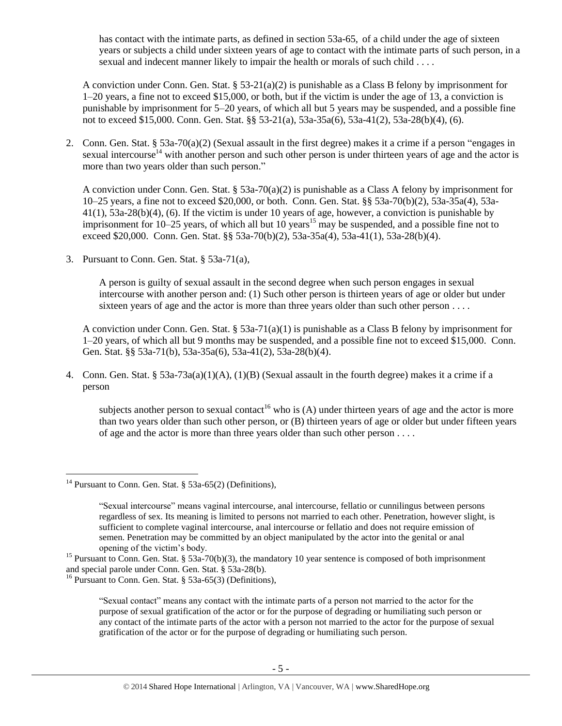has contact with the intimate parts, as defined in section 53a-65, of a child under the age of sixteen years or subjects a child under sixteen years of age to contact with the intimate parts of such person, in a sexual and indecent manner likely to impair the health or morals of such child . . . .

A conviction under Conn. Gen. Stat. § 53-21(a)(2) is punishable as a Class B felony by imprisonment for 1–20 years, a fine not to exceed \$15,000, or both, but if the victim is under the age of 13, a conviction is punishable by imprisonment for 5–20 years, of which all but 5 years may be suspended, and a possible fine not to exceed \$15,000. Conn. Gen. Stat. §§ 53-21(a), 53a-35a(6), 53a-41(2), 53a-28(b)(4), (6).

2. Conn. Gen. Stat. § 53a-70(a)(2) (Sexual assault in the first degree) makes it a crime if a person "engages in sexual intercourse<sup>14</sup> with another person and such other person is under thirteen years of age and the actor is more than two years older than such person."

A conviction under Conn. Gen. Stat. § 53a-70(a)(2) is punishable as a Class A felony by imprisonment for 10–25 years, a fine not to exceed \$20,000, or both. Conn. Gen. Stat. §§ 53a-70(b)(2), 53a-35a(4), 53a- $41(1)$ ,  $53a-28(b)(4)$ , (6). If the victim is under 10 years of age, however, a conviction is punishable by imprisonment for  $10-25$  years, of which all but  $10$  years<sup>15</sup> may be suspended, and a possible fine not to exceed \$20,000. Conn. Gen. Stat. §§ 53a-70(b)(2), 53a-35a(4), 53a-41(1), 53a-28(b)(4).

3. Pursuant to Conn. Gen. Stat. § 53a-71(a),

A person is guilty of sexual assault in the second degree when such person engages in sexual intercourse with another person and: (1) Such other person is thirteen years of age or older but under sixteen years of age and the actor is more than three years older than such other person ....

A conviction under Conn. Gen. Stat.  $\S 53a-71(a)(1)$  is punishable as a Class B felony by imprisonment for 1–20 years, of which all but 9 months may be suspended, and a possible fine not to exceed \$15,000. Conn. Gen. Stat. §§ 53a-71(b), 53a-35a(6), 53a-41(2), 53a-28(b)(4).

4. Conn. Gen. Stat. § 53a-73a(a)(1)(A), (1)(B) (Sexual assault in the fourth degree) makes it a crime if a person

subjects another person to sexual contact<sup>16</sup> who is (A) under thirteen years of age and the actor is more than two years older than such other person, or (B) thirteen years of age or older but under fifteen years of age and the actor is more than three years older than such other person . . . .

<sup>&</sup>lt;sup>14</sup> Pursuant to Conn. Gen. Stat. § 53a-65(2) (Definitions),

<sup>&</sup>quot;Sexual intercourse" means vaginal intercourse, anal intercourse, fellatio or cunnilingus between persons regardless of sex. Its meaning is limited to persons not married to each other. Penetration, however slight, is sufficient to complete vaginal intercourse, anal intercourse or fellatio and does not require emission of semen. Penetration may be committed by an object manipulated by the actor into the genital or anal opening of the victim's body.

<sup>&</sup>lt;sup>15</sup> Pursuant to Conn. Gen. Stat. § 53a-70(b)(3), the mandatory 10 year sentence is composed of both imprisonment and special parole under Conn. Gen. Stat. § 53a-28(b).

<sup>16</sup> Pursuant to Conn. Gen. Stat. § 53a-65(3) (Definitions),

<sup>&</sup>quot;Sexual contact" means any contact with the intimate parts of a person not married to the actor for the purpose of sexual gratification of the actor or for the purpose of degrading or humiliating such person or any contact of the intimate parts of the actor with a person not married to the actor for the purpose of sexual gratification of the actor or for the purpose of degrading or humiliating such person.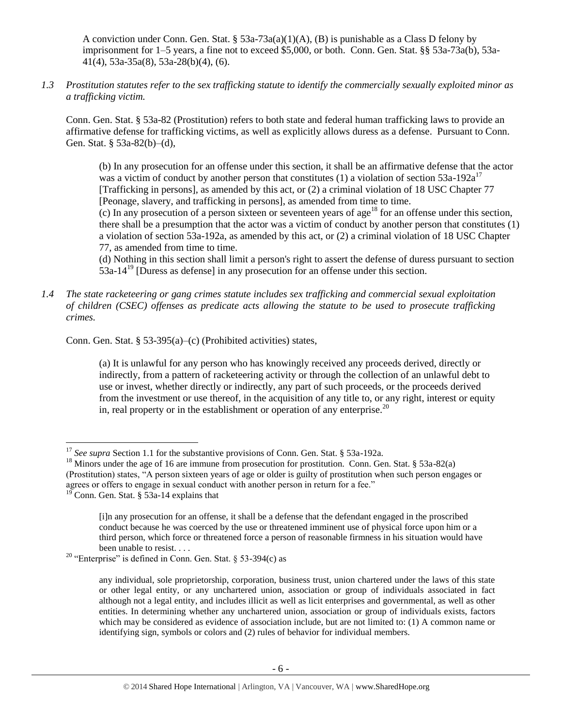A conviction under Conn. Gen. Stat. §  $53a-73a(a)(1)(A)$ , (B) is punishable as a Class D felony by imprisonment for 1–5 years, a fine not to exceed \$5,000, or both. Conn. Gen. Stat. §§ 53a-73a(b), 53a-41(4), 53a-35a(8), 53a-28(b)(4), (6).

*1.3 Prostitution statutes refer to the sex trafficking statute to identify the commercially sexually exploited minor as a trafficking victim.* 

Conn. Gen. Stat. § 53a-82 (Prostitution) refers to both state and federal human trafficking laws to provide an affirmative defense for trafficking victims, as well as explicitly allows duress as a defense. Pursuant to Conn. Gen. Stat. § 53a-82(b)–(d),

(b) In any prosecution for an offense under this section, it shall be an affirmative defense that the actor was a victim of conduct by another person that constitutes (1) a violation of section  $53a-192a^{17}$ [Trafficking in persons], as amended by this act, or (2) a criminal violation of 18 USC Chapter 77 [Peonage, slavery, and trafficking in persons], as amended from time to time.

(c) In any prosecution of a person sixteen or seventeen years of age<sup>18</sup> for an offense under this section, there shall be a presumption that the actor was a victim of conduct by another person that constitutes (1) a violation of section 53a-192a, as amended by this act, or (2) a criminal violation of 18 USC Chapter 77, as amended from time to time.

(d) Nothing in this section shall limit a person's right to assert the defense of duress pursuant to section 53a-14<sup>19</sup> [Duress as defense] in any prosecution for an offense under this section.

*1.4 The state racketeering or gang crimes statute includes sex trafficking and commercial sexual exploitation of children (CSEC) offenses as predicate acts allowing the statute to be used to prosecute trafficking crimes.* 

Conn. Gen. Stat. § 53-395(a)–(c) (Prohibited activities) states,

(a) It is unlawful for any person who has knowingly received any proceeds derived, directly or indirectly, from a pattern of racketeering activity or through the collection of an unlawful debt to use or invest, whether directly or indirectly, any part of such proceeds, or the proceeds derived from the investment or use thereof, in the acquisition of any title to, or any right, interest or equity in, real property or in the establishment or operation of any enterprise.<sup>20</sup>

<sup>&</sup>lt;sup>17</sup> *See supra* Section 1.1 for the substantive provisions of Conn. Gen. Stat. § 53a-192a.

<sup>&</sup>lt;sup>18</sup> Minors under the age of 16 are immune from prosecution for prostitution. Conn. Gen. Stat. § 53a-82(a) (Prostitution) states, "A person sixteen years of age or older is guilty of prostitution when such person engages or agrees or offers to engage in sexual conduct with another person in return for a fee."

 $19^{\circ}$  Conn. Gen. Stat. § 53a-14 explains that

<sup>[</sup>i]n any prosecution for an offense, it shall be a defense that the defendant engaged in the proscribed conduct because he was coerced by the use or threatened imminent use of physical force upon him or a third person, which force or threatened force a person of reasonable firmness in his situation would have been unable to resist. . . .

<sup>&</sup>lt;sup>20</sup> "Enterprise" is defined in Conn. Gen. Stat. § 53-394(c) as

any individual, sole proprietorship, corporation, business trust, union chartered under the laws of this state or other legal entity, or any unchartered union, association or group of individuals associated in fact although not a legal entity, and includes illicit as well as licit enterprises and governmental, as well as other entities. In determining whether any unchartered union, association or group of individuals exists, factors which may be considered as evidence of association include, but are not limited to: (1) A common name or identifying sign, symbols or colors and (2) rules of behavior for individual members.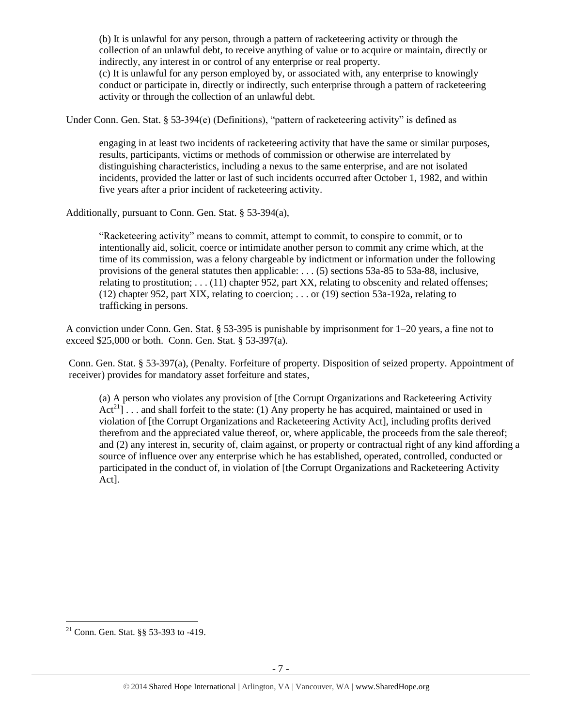(b) It is unlawful for any person, through a pattern of racketeering activity or through the collection of an unlawful debt, to receive anything of value or to acquire or maintain, directly or indirectly, any interest in or control of any enterprise or real property. (c) It is unlawful for any person employed by, or associated with, any enterprise to knowingly conduct or participate in, directly or indirectly, such enterprise through a pattern of racketeering activity or through the collection of an unlawful debt.

Under Conn. Gen. Stat. § 53-394(e) (Definitions), "pattern of racketeering activity" is defined as

engaging in at least two incidents of racketeering activity that have the same or similar purposes, results, participants, victims or methods of commission or otherwise are interrelated by distinguishing characteristics, including a nexus to the same enterprise, and are not isolated incidents, provided the latter or last of such incidents occurred after October 1, 1982, and within five years after a prior incident of racketeering activity.

Additionally, pursuant to Conn. Gen. Stat. § 53-394(a),

"Racketeering activity" means to commit, attempt to commit, to conspire to commit, or to intentionally aid, solicit, coerce or intimidate another person to commit any crime which, at the time of its commission, was a felony chargeable by indictment or information under the following provisions of the general statutes then applicable: . . . (5) sections 53a-85 to 53a-88, inclusive, relating to prostitution; . . . (11) chapter 952, part XX, relating to obscenity and related offenses; (12) chapter 952, part XIX, relating to coercion; . . . or (19) section 53a-192a, relating to trafficking in persons.

A conviction under Conn. Gen. Stat. § 53-395 is punishable by imprisonment for 1–20 years, a fine not to exceed \$25,000 or both. Conn. Gen. Stat. § 53-397(a).

Conn. Gen. Stat. § 53-397(a), (Penalty. Forfeiture of property. Disposition of seized property. Appointment of receiver) provides for mandatory asset forfeiture and states,

(a) A person who violates any provision of [the Corrupt Organizations and Racketeering Activity  $Act^{21}$ ... and shall forfeit to the state: (1) Any property he has acquired, maintained or used in violation of [the Corrupt Organizations and Racketeering Activity Act], including profits derived therefrom and the appreciated value thereof, or, where applicable, the proceeds from the sale thereof; and (2) any interest in, security of, claim against, or property or contractual right of any kind affording a source of influence over any enterprise which he has established, operated, controlled, conducted or participated in the conduct of, in violation of [the Corrupt Organizations and Racketeering Activity Act].

<sup>&</sup>lt;sup>21</sup> Conn. Gen. Stat.  $\S$ § 53-393 to -419.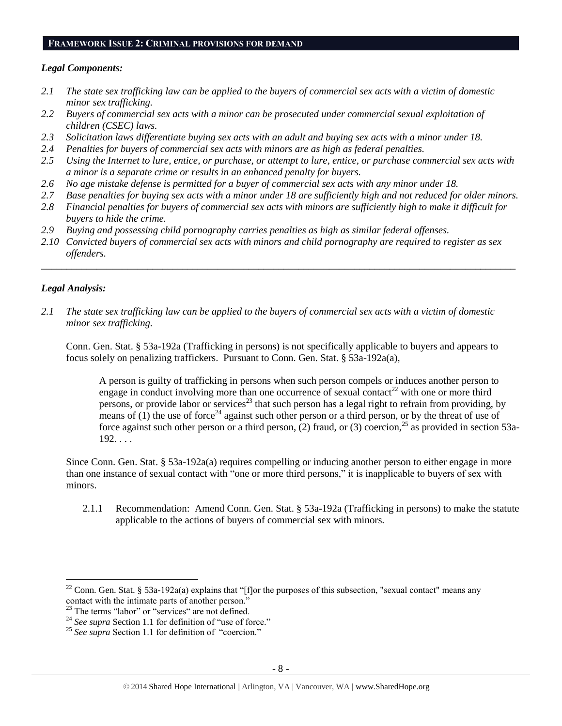#### **FRAMEWORK ISSUE 2: CRIMINAL PROVISIONS FOR DEMAND**

#### *Legal Components:*

- *2.1 The state sex trafficking law can be applied to the buyers of commercial sex acts with a victim of domestic minor sex trafficking.*
- *2.2 Buyers of commercial sex acts with a minor can be prosecuted under commercial sexual exploitation of children (CSEC) laws.*
- *2.3 Solicitation laws differentiate buying sex acts with an adult and buying sex acts with a minor under 18.*
- *2.4 Penalties for buyers of commercial sex acts with minors are as high as federal penalties.*
- *2.5 Using the Internet to lure, entice, or purchase, or attempt to lure, entice, or purchase commercial sex acts with a minor is a separate crime or results in an enhanced penalty for buyers.*
- *2.6 No age mistake defense is permitted for a buyer of commercial sex acts with any minor under 18.*
- *2.7 Base penalties for buying sex acts with a minor under 18 are sufficiently high and not reduced for older minors.*
- *2.8 Financial penalties for buyers of commercial sex acts with minors are sufficiently high to make it difficult for buyers to hide the crime.*
- *2.9 Buying and possessing child pornography carries penalties as high as similar federal offenses.*
- *2.10 Convicted buyers of commercial sex acts with minors and child pornography are required to register as sex offenders.*

\_\_\_\_\_\_\_\_\_\_\_\_\_\_\_\_\_\_\_\_\_\_\_\_\_\_\_\_\_\_\_\_\_\_\_\_\_\_\_\_\_\_\_\_\_\_\_\_\_\_\_\_\_\_\_\_\_\_\_\_\_\_\_\_\_\_\_\_\_\_\_\_\_\_\_\_\_\_\_\_\_\_\_\_\_\_\_\_\_\_\_\_\_\_

#### *Legal Analysis:*

 $\overline{a}$ 

*2.1 The state sex trafficking law can be applied to the buyers of commercial sex acts with a victim of domestic minor sex trafficking.*

Conn. Gen. Stat. § 53a-192a (Trafficking in persons) is not specifically applicable to buyers and appears to focus solely on penalizing traffickers. Pursuant to Conn. Gen. Stat. § 53a-192a(a),

A person is guilty of trafficking in persons when such person compels or induces another person to engage in conduct involving more than one occurrence of sexual contact<sup>22</sup> with one or more third persons, or provide labor or services<sup>23</sup> that such person has a legal right to refrain from providing, by means of (1) the use of force<sup>24</sup> against such other person or a third person, or by the threat of use of force against such other person or a third person, (2) fraud, or (3) coercion,<sup>25</sup> as provided in section 53a- $192. \ldots$ 

Since Conn. Gen. Stat. § 53a-192a(a) requires compelling or inducing another person to either engage in more than one instance of sexual contact with "one or more third persons," it is inapplicable to buyers of sex with minors.

2.1.1 Recommendation: Amend Conn. Gen. Stat. § 53a-192a (Trafficking in persons) to make the statute applicable to the actions of buyers of commercial sex with minors.

<sup>&</sup>lt;sup>22</sup> Conn. Gen. Stat. § 53a-192a(a) explains that "[f]or the purposes of this subsection, "sexual contact" means any contact with the intimate parts of another person."

<sup>&</sup>lt;sup>23</sup> The terms "labor" or "services" are not defined.

<sup>&</sup>lt;sup>24</sup> See supra Section 1.1 for definition of "use of force."

<sup>&</sup>lt;sup>25</sup> See supra Section 1.1 for definition of "coercion."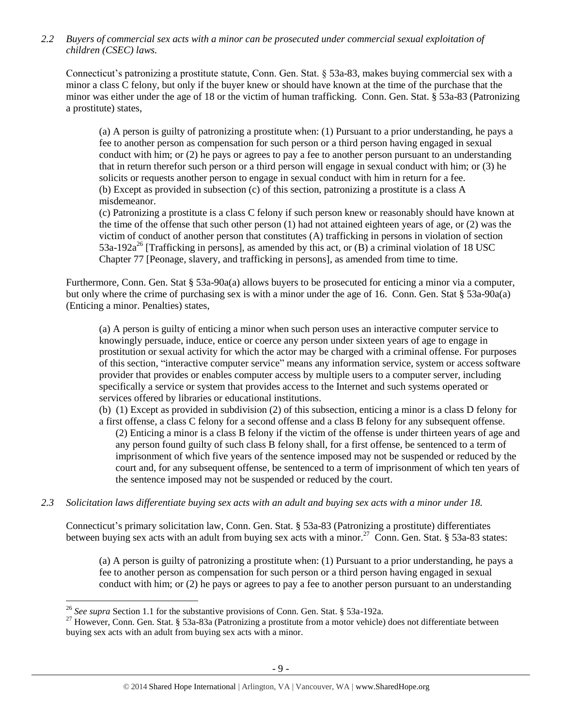*2.2 Buyers of commercial sex acts with a minor can be prosecuted under commercial sexual exploitation of children (CSEC) laws.*

Connecticut's patronizing a prostitute statute, Conn. Gen. Stat. § 53a-83, makes buying commercial sex with a minor a class C felony, but only if the buyer knew or should have known at the time of the purchase that the minor was either under the age of 18 or the victim of human trafficking. Conn. Gen. Stat. § 53a-83 (Patronizing a prostitute) states,

(a) A person is guilty of patronizing a prostitute when: (1) Pursuant to a prior understanding, he pays a fee to another person as compensation for such person or a third person having engaged in sexual conduct with him; or (2) he pays or agrees to pay a fee to another person pursuant to an understanding that in return therefor such person or a third person will engage in sexual conduct with him; or (3) he solicits or requests another person to engage in sexual conduct with him in return for a fee. (b) Except as provided in subsection (c) of this section, patronizing a prostitute is a class A misdemeanor.

(c) Patronizing a prostitute is a class C felony if such person knew or reasonably should have known at the time of the offense that such other person (1) had not attained eighteen years of age, or (2) was the victim of conduct of another person that constitutes (A) trafficking in persons in violation of section 53a-192a<sup>26</sup> [Trafficking in persons], as amended by this act, or  $(B)$  a criminal violation of 18 USC Chapter 77 [Peonage, slavery, and trafficking in persons], as amended from time to time.

Furthermore, Conn. Gen. Stat § 53a-90a(a) allows buyers to be prosecuted for enticing a minor via a computer, but only where the crime of purchasing sex is with a minor under the age of 16. Conn. Gen. Stat § 53a-90a(a) (Enticing a minor. Penalties) states,

(a) A person is guilty of enticing a minor when such person uses an interactive computer service to knowingly persuade, induce, entice or coerce any person under sixteen years of age to engage in prostitution or sexual activity for which the actor may be charged with a criminal offense. For purposes of this section, "interactive computer service" means any information service, system or access software provider that provides or enables computer access by multiple users to a computer server, including specifically a service or system that provides access to the Internet and such systems operated or services offered by libraries or educational institutions.

(b) (1) Except as provided in subdivision (2) of this subsection, enticing a minor is a class D felony for a first offense, a class C felony for a second offense and a class B felony for any subsequent offense.

(2) Enticing a minor is a class B felony if the victim of the offense is under thirteen years of age and any person found guilty of such class B felony shall, for a first offense, be sentenced to a term of imprisonment of which five years of the sentence imposed may not be suspended or reduced by the court and, for any subsequent offense, be sentenced to a term of imprisonment of which ten years of the sentence imposed may not be suspended or reduced by the court.

*2.3 Solicitation laws differentiate buying sex acts with an adult and buying sex acts with a minor under 18.*

Connecticut's primary solicitation law, Conn. Gen. Stat. § 53a-83 (Patronizing a prostitute) differentiates between buying sex acts with an adult from buying sex acts with a minor.<sup>27</sup> Conn. Gen. Stat. § 53a-83 states:

(a) A person is guilty of patronizing a prostitute when: (1) Pursuant to a prior understanding, he pays a fee to another person as compensation for such person or a third person having engaged in sexual conduct with him; or (2) he pays or agrees to pay a fee to another person pursuant to an understanding

<sup>26</sup> *See supra* Section 1.1 for the substantive provisions of Conn. Gen. Stat. § 53a-192a.

<sup>&</sup>lt;sup>27</sup> However, Conn. Gen. Stat. § 53a-83a (Patronizing a prostitute from a motor vehicle) does not differentiate between buying sex acts with an adult from buying sex acts with a minor.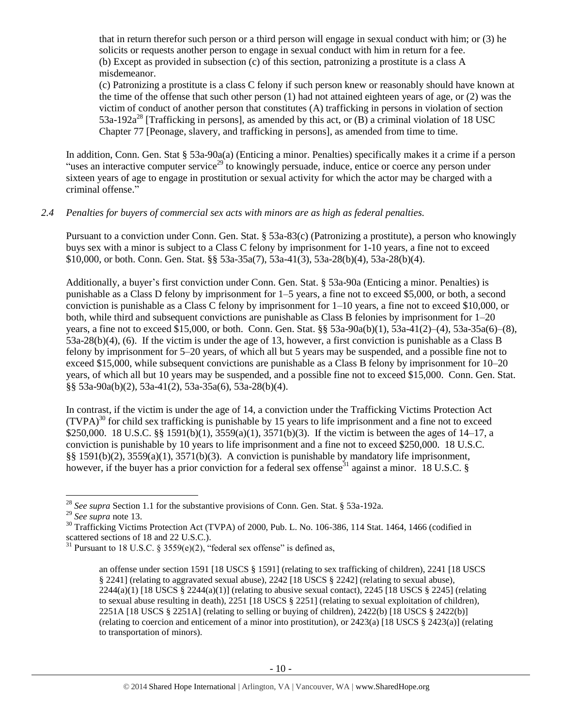that in return therefor such person or a third person will engage in sexual conduct with him; or (3) he solicits or requests another person to engage in sexual conduct with him in return for a fee. (b) Except as provided in subsection (c) of this section, patronizing a prostitute is a class A misdemeanor.

(c) Patronizing a prostitute is a class C felony if such person knew or reasonably should have known at the time of the offense that such other person (1) had not attained eighteen years of age, or (2) was the victim of conduct of another person that constitutes (A) trafficking in persons in violation of section 53a-192a<sup>28</sup> [Trafficking in persons], as amended by this act, or (B) a criminal violation of 18 USC Chapter 77 [Peonage, slavery, and trafficking in persons], as amended from time to time.

In addition, Conn. Gen. Stat § 53a-90a(a) (Enticing a minor. Penalties) specifically makes it a crime if a person "uses an interactive computer service<sup>29</sup> to knowingly persuade, induce, entice or coerce any person under sixteen years of age to engage in prostitution or sexual activity for which the actor may be charged with a criminal offense."

## *2.4 Penalties for buyers of commercial sex acts with minors are as high as federal penalties.*

Pursuant to a conviction under Conn. Gen. Stat. § 53a-83(c) (Patronizing a prostitute), a person who knowingly buys sex with a minor is subject to a Class C felony by imprisonment for 1-10 years, a fine not to exceed \$10,000, or both. Conn. Gen. Stat. §§ 53a-35a(7), 53a-41(3), 53a-28(b)(4), 53a-28(b)(4).

Additionally, a buyer's first conviction under Conn. Gen. Stat. § 53a-90a (Enticing a minor. Penalties) is punishable as a Class D felony by imprisonment for 1–5 years, a fine not to exceed \$5,000, or both, a second conviction is punishable as a Class C felony by imprisonment for 1–10 years, a fine not to exceed \$10,000, or both, while third and subsequent convictions are punishable as Class B felonies by imprisonment for 1–20 years, a fine not to exceed \$15,000, or both. Conn. Gen. Stat. §§ 53a-90a(b)(1), 53a-41(2)–(4), 53a-35a(6)–(8), 53a-28(b)(4), (6). If the victim is under the age of 13, however, a first conviction is punishable as a Class B felony by imprisonment for 5–20 years, of which all but 5 years may be suspended, and a possible fine not to exceed \$15,000, while subsequent convictions are punishable as a Class B felony by imprisonment for 10–20 years, of which all but 10 years may be suspended, and a possible fine not to exceed \$15,000. Conn. Gen. Stat. §§ 53a-90a(b)(2), 53a-41(2), 53a-35a(6), 53a-28(b)(4).

In contrast, if the victim is under the age of 14, a conviction under the Trafficking Victims Protection Act  $(TVPA)<sup>30</sup>$  for child sex trafficking is punishable by 15 years to life imprisonment and a fine not to exceed \$250,000. 18 U.S.C. §§ 1591(b)(1), 3559(a)(1), 3571(b)(3). If the victim is between the ages of 14–17, a conviction is punishable by 10 years to life imprisonment and a fine not to exceed \$250,000. 18 U.S.C. §§ 1591(b)(2), 3559(a)(1), 3571(b)(3). A conviction is punishable by mandatory life imprisonment, however, if the buyer has a prior conviction for a federal sex offense<sup>31</sup> against a minor. 18 U.S.C. §

 $\overline{a}$ 

<sup>30</sup> Trafficking Victims Protection Act (TVPA) of 2000, Pub. L. No. 106-386, 114 Stat. 1464, 1466 (codified in scattered sections of 18 and 22 U.S.C.).

<sup>28</sup> *See supra* Section 1.1 for the substantive provisions of Conn. Gen. Stat. § 53a-192a.

<sup>29</sup> *See supra* note [13.](#page-3-0) 

<sup>&</sup>lt;sup>31</sup> Pursuant to 18 U.S.C. § 3559(e)(2), "federal sex offense" is defined as,

<span id="page-9-0"></span>an offense under section 1591 [18 USCS § 1591] (relating to sex trafficking of children), 2241 [18 USCS § 2241] (relating to aggravated sexual abuse), 2242 [18 USCS § 2242] (relating to sexual abuse),  $2244(a)(1)$  [18 USCS §  $2244(a)(1)$ ] (relating to abusive sexual contact),  $2245$  [18 USCS § 2245] (relating to sexual abuse resulting in death), 2251 [18 USCS § 2251] (relating to sexual exploitation of children), 2251A [18 USCS § 2251A] (relating to selling or buying of children), 2422(b) [18 USCS § 2422(b)] (relating to coercion and enticement of a minor into prostitution), or 2423(a) [18 USCS § 2423(a)] (relating to transportation of minors).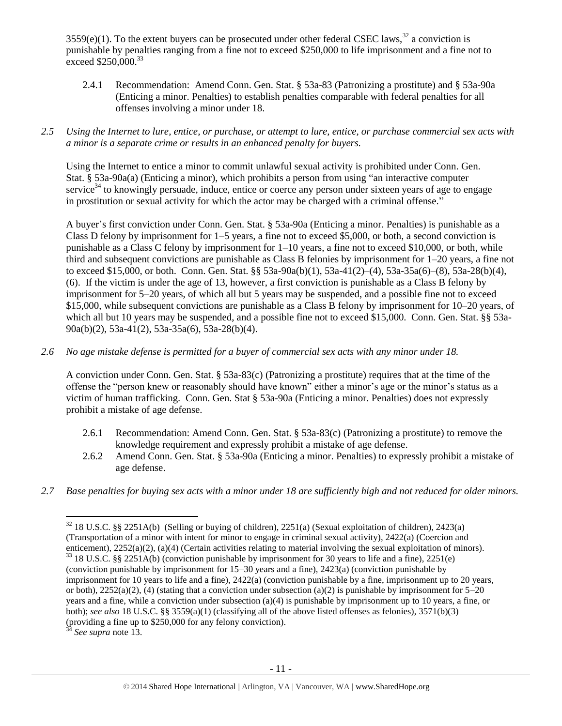$3559(e)(1)$ . To the extent buyers can be prosecuted under other federal CSEC laws,<sup>32</sup> a conviction is punishable by penalties ranging from a fine not to exceed \$250,000 to life imprisonment and a fine not to  $\epsilon$ xceed \$250,000.<sup>33</sup>

- 2.4.1 Recommendation: Amend Conn. Gen. Stat. § 53a-83 (Patronizing a prostitute) and § 53a-90a (Enticing a minor. Penalties) to establish penalties comparable with federal penalties for all offenses involving a minor under 18.
- *2.5 Using the Internet to lure, entice, or purchase, or attempt to lure, entice, or purchase commercial sex acts with a minor is a separate crime or results in an enhanced penalty for buyers.*

Using the Internet to entice a minor to commit unlawful sexual activity is prohibited under Conn. Gen. Stat. § 53a-90a(a) (Enticing a minor), which prohibits a person from using "an interactive computer service $34$  to knowingly persuade, induce, entice or coerce any person under sixteen years of age to engage in prostitution or sexual activity for which the actor may be charged with a criminal offense."

A buyer's first conviction under Conn. Gen. Stat. § 53a-90a (Enticing a minor. Penalties) is punishable as a Class D felony by imprisonment for 1–5 years, a fine not to exceed \$5,000, or both, a second conviction is punishable as a Class C felony by imprisonment for 1–10 years, a fine not to exceed \$10,000, or both, while third and subsequent convictions are punishable as Class B felonies by imprisonment for 1–20 years, a fine not to exceed \$15,000, or both. Conn. Gen. Stat. §§ 53a-90a(b)(1), 53a-41(2)–(4), 53a-35a(6)–(8), 53a-28(b)(4), (6). If the victim is under the age of 13, however, a first conviction is punishable as a Class B felony by imprisonment for 5–20 years, of which all but 5 years may be suspended, and a possible fine not to exceed \$15,000, while subsequent convictions are punishable as a Class B felony by imprisonment for 10–20 years, of which all but 10 years may be suspended, and a possible fine not to exceed \$15,000. Conn. Gen. Stat. §§ 53a-90a(b)(2), 53a-41(2), 53a-35a(6), 53a-28(b)(4).

*2.6 No age mistake defense is permitted for a buyer of commercial sex acts with any minor under 18.*

A conviction under Conn. Gen. Stat. § 53a-83(c) (Patronizing a prostitute) requires that at the time of the offense the "person knew or reasonably should have known" either a minor's age or the minor's status as a victim of human trafficking. Conn. Gen. Stat § 53a-90a (Enticing a minor. Penalties) does not expressly prohibit a mistake of age defense.

- 2.6.1 Recommendation: Amend Conn. Gen. Stat. § 53a-83(c) (Patronizing a prostitute) to remove the knowledge requirement and expressly prohibit a mistake of age defense.
- 2.6.2 Amend Conn. Gen. Stat. § 53a-90a (Enticing a minor. Penalties) to expressly prohibit a mistake of age defense.
- *2.7 Base penalties for buying sex acts with a minor under 18 are sufficiently high and not reduced for older minors.*

<sup>34</sup> *See supra* note [13.](#page-3-0) 

 $32$  18 U.S.C. §§ 2251A(b) (Selling or buying of children), 2251(a) (Sexual exploitation of children), 2423(a) (Transportation of a minor with intent for minor to engage in criminal sexual activity), 2422(a) (Coercion and enticement), 2252(a)(2), (a)(4) (Certain activities relating to material involving the sexual exploitation of minors). <sup>33</sup> 18 U.S.C. §§ 2251A(b) (conviction punishable by imprisonment for 30 years to life and a fine), 2251(e) (conviction punishable by imprisonment for 15–30 years and a fine), 2423(a) (conviction punishable by imprisonment for 10 years to life and a fine), 2422(a) (conviction punishable by a fine, imprisonment up to 20 years, or both),  $2252(a)(2)$ , (4) (stating that a conviction under subsection (a)(2) is punishable by imprisonment for  $5-20$ years and a fine, while a conviction under subsection (a)(4) is punishable by imprisonment up to 10 years, a fine, or both); *see also* 18 U.S.C. §§ 3559(a)(1) (classifying all of the above listed offenses as felonies), 3571(b)(3) (providing a fine up to \$250,000 for any felony conviction).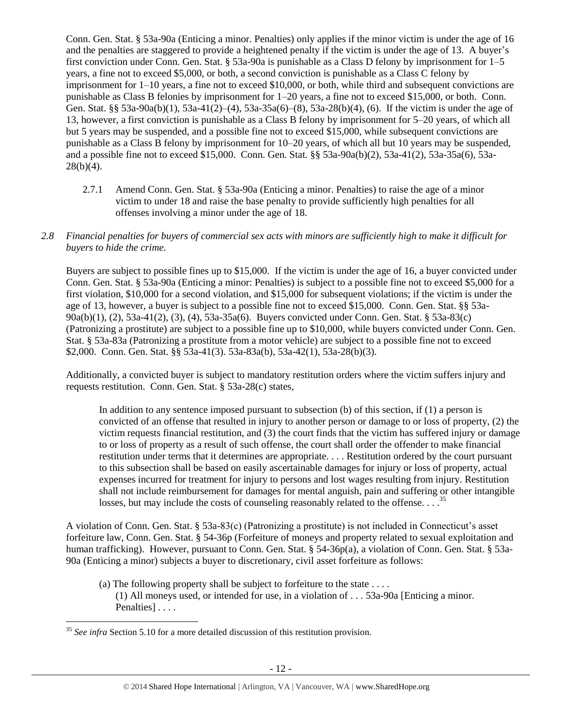Conn. Gen. Stat. § 53a-90a (Enticing a minor. Penalties) only applies if the minor victim is under the age of 16 and the penalties are staggered to provide a heightened penalty if the victim is under the age of 13. A buyer's first conviction under Conn. Gen. Stat. § 53a-90a is punishable as a Class D felony by imprisonment for 1–5 years, a fine not to exceed \$5,000, or both, a second conviction is punishable as a Class C felony by imprisonment for 1–10 years, a fine not to exceed \$10,000, or both, while third and subsequent convictions are punishable as Class B felonies by imprisonment for 1–20 years, a fine not to exceed \$15,000, or both. Conn. Gen. Stat. §§ 53a-90a(b)(1), 53a-41(2)–(4), 53a-35a(6)–(8), 53a-28(b)(4), (6). If the victim is under the age of 13, however, a first conviction is punishable as a Class B felony by imprisonment for 5–20 years, of which all but 5 years may be suspended, and a possible fine not to exceed \$15,000, while subsequent convictions are punishable as a Class B felony by imprisonment for 10–20 years, of which all but 10 years may be suspended, and a possible fine not to exceed \$15,000. Conn. Gen. Stat. §§ 53a-90a(b)(2), 53a-41(2), 53a-35a(6), 53a- $28(b)(4)$ .

- 2.7.1 Amend Conn. Gen. Stat. § 53a-90a (Enticing a minor. Penalties) to raise the age of a minor victim to under 18 and raise the base penalty to provide sufficiently high penalties for all offenses involving a minor under the age of 18.
- *2.8 Financial penalties for buyers of commercial sex acts with minors are sufficiently high to make it difficult for buyers to hide the crime.*

Buyers are subject to possible fines up to \$15,000. If the victim is under the age of 16, a buyer convicted under Conn. Gen. Stat. § 53a-90a (Enticing a minor: Penalties) is subject to a possible fine not to exceed \$5,000 for a first violation, \$10,000 for a second violation, and \$15,000 for subsequent violations; if the victim is under the age of 13, however, a buyer is subject to a possible fine not to exceed \$15,000. Conn. Gen. Stat. §§ 53a-90a(b)(1), (2), 53a-41(2), (3), (4), 53a-35a(6). Buyers convicted under Conn. Gen. Stat. § 53a-83(c) (Patronizing a prostitute) are subject to a possible fine up to \$10,000, while buyers convicted under Conn. Gen. Stat. § 53a-83a (Patronizing a prostitute from a motor vehicle) are subject to a possible fine not to exceed \$2,000. Conn. Gen. Stat. §§ 53a-41(3). 53a-83a(b), 53a-42(1), 53a-28(b)(3).

Additionally, a convicted buyer is subject to mandatory restitution orders where the victim suffers injury and requests restitution. Conn. Gen. Stat. § 53a-28(c) states,

In addition to any sentence imposed pursuant to subsection (b) of this section, if (1) a person is convicted of an offense that resulted in injury to another person or damage to or loss of property, (2) the victim requests financial restitution, and (3) the court finds that the victim has suffered injury or damage to or loss of property as a result of such offense, the court shall order the offender to make financial restitution under terms that it determines are appropriate. . . . Restitution ordered by the court pursuant to this subsection shall be based on easily ascertainable damages for injury or loss of property, actual expenses incurred for treatment for injury to persons and lost wages resulting from injury. Restitution shall not include reimbursement for damages for mental anguish, pain and suffering or other intangible losses, but may include the costs of counseling reasonably related to the offense. . . .<sup>35</sup>

A violation of Conn. Gen. Stat. § 53a-83(c) (Patronizing a prostitute) is not included in Connecticut's asset forfeiture law, Conn. Gen. Stat. § 54-36p (Forfeiture of moneys and property related to sexual exploitation and human trafficking). However, pursuant to Conn. Gen. Stat. § 54-36p(a), a violation of Conn. Gen. Stat. § 53a-90a (Enticing a minor) subjects a buyer to discretionary, civil asset forfeiture as follows:

<span id="page-11-0"></span>(a) The following property shall be subject to forfeiture to the state  $\dots$ . (1) All moneys used, or intended for use, in a violation of . . . 53a-90a [Enticing a minor. Penalties]....

 $\overline{a}$ <sup>35</sup> See infra Section 5.10 for a more detailed discussion of this restitution provision.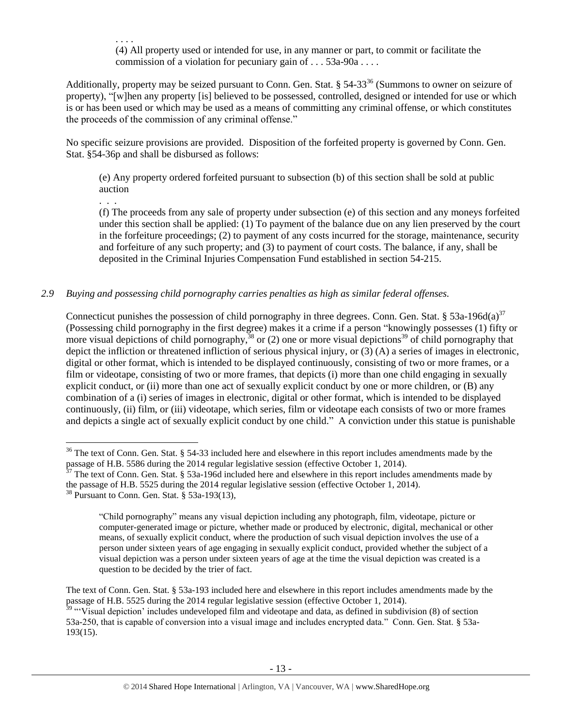<span id="page-12-0"></span>. . . . (4) All property used or intended for use, in any manner or part, to commit or facilitate the commission of a violation for pecuniary gain of . . . 53a-90a . . . .

Additionally, property may be seized pursuant to Conn. Gen. Stat.  $\S 54-33^{36}$  (Summons to owner on seizure of property), "[w]hen any property [is] believed to be possessed, controlled, designed or intended for use or which is or has been used or which may be used as a means of committing any criminal offense, or which constitutes the proceeds of the commission of any criminal offense."

No specific seizure provisions are provided. Disposition of the forfeited property is governed by Conn. Gen. Stat. §54-36p and shall be disbursed as follows:

(e) Any property ordered forfeited pursuant to subsection (b) of this section shall be sold at public auction

(f) The proceeds from any sale of property under subsection (e) of this section and any moneys forfeited under this section shall be applied: (1) To payment of the balance due on any lien preserved by the court in the forfeiture proceedings; (2) to payment of any costs incurred for the storage, maintenance, security and forfeiture of any such property; and (3) to payment of court costs. The balance, if any, shall be deposited in the Criminal Injuries Compensation Fund established in section 54-215.

## *2.9 Buying and possessing child pornography carries penalties as high as similar federal offenses.*

Connecticut punishes the possession of child pornography in three degrees. Conn. Gen. Stat. § 53a-196d(a)<sup>37</sup> (Possessing child pornography in the first degree) makes it a crime if a person "knowingly possesses (1) fifty or more visual depictions of child pornography,  $\frac{3}{38}$  or (2) one or more visual depictions<sup>39</sup> of child pornography that depict the infliction or threatened infliction of serious physical injury, or (3) (A) a series of images in electronic, digital or other format, which is intended to be displayed continuously, consisting of two or more frames, or a film or videotape, consisting of two or more frames, that depicts (i) more than one child engaging in sexually explicit conduct, or (ii) more than one act of sexually explicit conduct by one or more children, or (B) any combination of a (i) series of images in electronic, digital or other format, which is intended to be displayed continuously, (ii) film, or (iii) videotape, which series, film or videotape each consists of two or more frames and depicts a single act of sexually explicit conduct by one child." A conviction under this statue is punishable

. . .

<sup>&</sup>lt;sup>36</sup> The text of Conn. Gen. Stat. § 54-33 included here and elsewhere in this report includes amendments made by the passage of H.B. 5586 during the 2014 regular legislative session (effective October 1, 2014).

The text of Conn. Gen. Stat. § 53a-196d included here and elsewhere in this report includes amendments made by the passage of H.B. 5525 during the 2014 regular legislative session (effective October 1, 2014).

<sup>38</sup> Pursuant to Conn. Gen. Stat. § 53a-193(13),

<sup>&</sup>quot;Child pornography" means any visual depiction including any photograph, film, videotape, picture or computer-generated image or picture, whether made or produced by electronic, digital, mechanical or other means, of sexually explicit conduct, where the production of such visual depiction involves the use of a person under sixteen years of age engaging in sexually explicit conduct, provided whether the subject of a visual depiction was a person under sixteen years of age at the time the visual depiction was created is a question to be decided by the trier of fact.

The text of Conn. Gen. Stat. § 53a-193 included here and elsewhere in this report includes amendments made by the passage of H.B. 5525 during the 2014 regular legislative session (effective October 1, 2014).

 $39$  "Visual depiction' includes undeveloped film and videotape and data, as defined in subdivision (8) of section 53a-250, that is capable of conversion into a visual image and includes encrypted data." Conn. Gen. Stat. § 53a-193(15).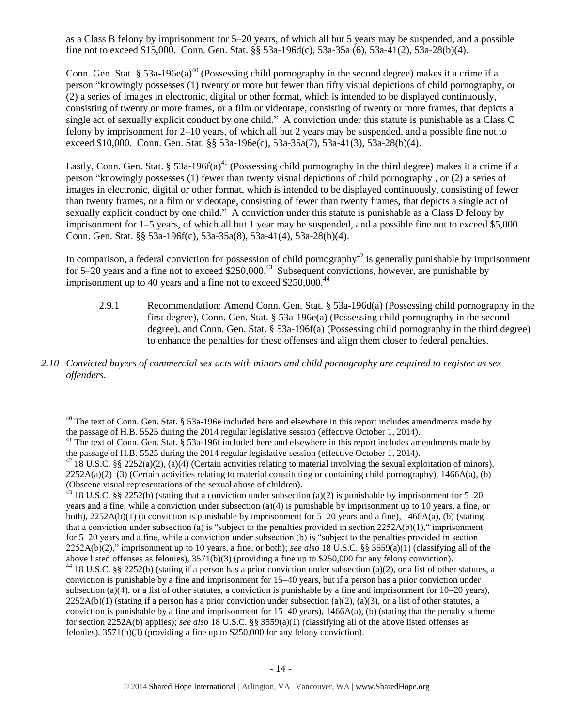as a Class B felony by imprisonment for 5–20 years, of which all but 5 years may be suspended, and a possible fine not to exceed \$15,000. Conn. Gen. Stat. §§ 53a-196d(c), 53a-35a (6), 53a-41(2), 53a-28(b)(4).

Conn. Gen. Stat. § 53a-196 $e(a)^{40}$  (Possessing child pornography in the second degree) makes it a crime if a person "knowingly possesses (1) twenty or more but fewer than fifty visual depictions of child pornography, or (2) a series of images in electronic, digital or other format, which is intended to be displayed continuously, consisting of twenty or more frames, or a film or videotape, consisting of twenty or more frames, that depicts a single act of sexually explicit conduct by one child." A conviction under this statute is punishable as a Class C felony by imprisonment for 2–10 years, of which all but 2 years may be suspended, and a possible fine not to exceed \$10,000. Conn. Gen. Stat. §§ 53a-196e(c), 53a-35a(7), 53a-41(3), 53a-28(b)(4).

Lastly, Conn. Gen. Stat. § 53a-196f(a)<sup>41</sup> (Possessing child pornography in the third degree) makes it a crime if a person "knowingly possesses (1) fewer than twenty visual depictions of child pornography , or (2) a series of images in electronic, digital or other format, which is intended to be displayed continuously, consisting of fewer than twenty frames, or a film or videotape, consisting of fewer than twenty frames, that depicts a single act of sexually explicit conduct by one child." A conviction under this statute is punishable as a Class D felony by imprisonment for 1–5 years, of which all but 1 year may be suspended, and a possible fine not to exceed \$5,000. Conn. Gen. Stat. §§ 53a-196f(c), 53a-35a(8), 53a-41(4), 53a-28(b)(4).

In comparison, a federal conviction for possession of child pornography<sup>42</sup> is generally punishable by imprisonment for 5–20 years and a fine not to exceed  $$250,000.<sup>43</sup>$  Subsequent convictions, however, are punishable by imprisonment up to 40 years and a fine not to exceed  $$250,000.<sup>44</sup>$ 

- 2.9.1 Recommendation: Amend Conn. Gen. Stat. § 53a-196d(a) (Possessing child pornography in the first degree), Conn. Gen. Stat. § 53a-196e(a) (Possessing child pornography in the second degree), and Conn. Gen. Stat. § 53a-196f(a) (Possessing child pornography in the third degree) to enhance the penalties for these offenses and align them closer to federal penalties.
- *2.10 Convicted buyers of commercial sex acts with minors and child pornography are required to register as sex offenders.*

 $40$  The text of Conn. Gen. Stat. § 53a-196e included here and elsewhere in this report includes amendments made by the passage of H.B. 5525 during the 2014 regular legislative session (effective October 1, 2014).

<sup>&</sup>lt;sup>41</sup> The text of Conn. Gen. Stat. § 53a-196f included here and elsewhere in this report includes amendments made by the passage of H.B. 5525 during the 2014 regular legislative session (effective October 1, 2014).

<sup>&</sup>lt;sup>42</sup> 18 U.S.C. §§ 2252(a)(2), (a)(4) (Certain activities relating to material involving the sexual exploitation of minors),  $2252A(a)(2)$ –(3) (Certain activities relating to material constituting or containing child pornography), 1466A(a), (b) (Obscene visual representations of the sexual abuse of children).

 $43$  18 U.S.C. §§ 2252(b) (stating that a conviction under subsection (a)(2) is punishable by imprisonment for 5–20 years and a fine, while a conviction under subsection (a)(4) is punishable by imprisonment up to 10 years, a fine, or both),  $2252A(b)(1)$  (a conviction is punishable by imprisonment for 5–20 years and a fine),  $1466A(a)$ , (b) (stating that a conviction under subsection (a) is "subject to the penalties provided in section  $2252A(b)(1)$ ," imprisonment for 5–20 years and a fine, while a conviction under subsection (b) is "subject to the penalties provided in section 2252A(b)(2)," imprisonment up to 10 years, a fine, or both); *see also* 18 U.S.C. §§ 3559(a)(1) (classifying all of the above listed offenses as felonies), 3571(b)(3) (providing a fine up to \$250,000 for any felony conviction). <sup>44</sup> 18 U.S.C. §§ 2252(b) (stating if a person has a prior conviction under subsection (a)(2), or a list of other statutes, a conviction is punishable by a fine and imprisonment for 15–40 years, but if a person has a prior conviction under subsection (a)(4), or a list of other statutes, a conviction is punishable by a fine and imprisonment for  $10-20$  years),  $2252A(b)(1)$  (stating if a person has a prior conviction under subsection (a)(2), (a)(3), or a list of other statutes, a conviction is punishable by a fine and imprisonment for  $15-40$  years),  $1466A(a)$ , (b) (stating that the penalty scheme for section 2252A(b) applies); *see also* 18 U.S.C. §§ 3559(a)(1) (classifying all of the above listed offenses as felonies), 3571(b)(3) (providing a fine up to \$250,000 for any felony conviction).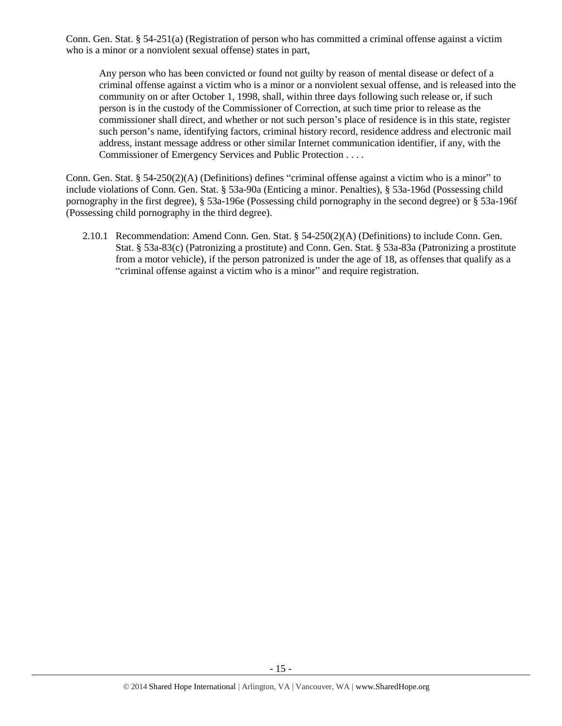Conn. Gen. Stat. § 54-251(a) (Registration of person who has committed a criminal offense against a victim who is a minor or a nonviolent sexual offense) states in part,

Any person who has been convicted or found not guilty by reason of mental disease or defect of a criminal offense against a victim who is a minor or a nonviolent sexual offense, and is released into the community on or after October 1, 1998, shall, within three days following such release or, if such person is in the custody of the Commissioner of Correction, at such time prior to release as the commissioner shall direct, and whether or not such person's place of residence is in this state, register such person's name, identifying factors, criminal history record, residence address and electronic mail address, instant message address or other similar Internet communication identifier, if any, with the Commissioner of Emergency Services and Public Protection . . . .

Conn. Gen. Stat. § 54-250(2)(A) (Definitions) defines "criminal offense against a victim who is a minor" to include violations of Conn. Gen. Stat. § 53a-90a (Enticing a minor. Penalties), § 53a-196d (Possessing child pornography in the first degree), § 53a-196e (Possessing child pornography in the second degree) or § 53a-196f (Possessing child pornography in the third degree).

2.10.1 Recommendation: Amend Conn. Gen. Stat. § 54-250(2)(A) (Definitions) to include Conn. Gen. Stat. § 53a-83(c) (Patronizing a prostitute) and Conn. Gen. Stat. § 53a-83a (Patronizing a prostitute from a motor vehicle), if the person patronized is under the age of 18, as offenses that qualify as a "criminal offense against a victim who is a minor" and require registration.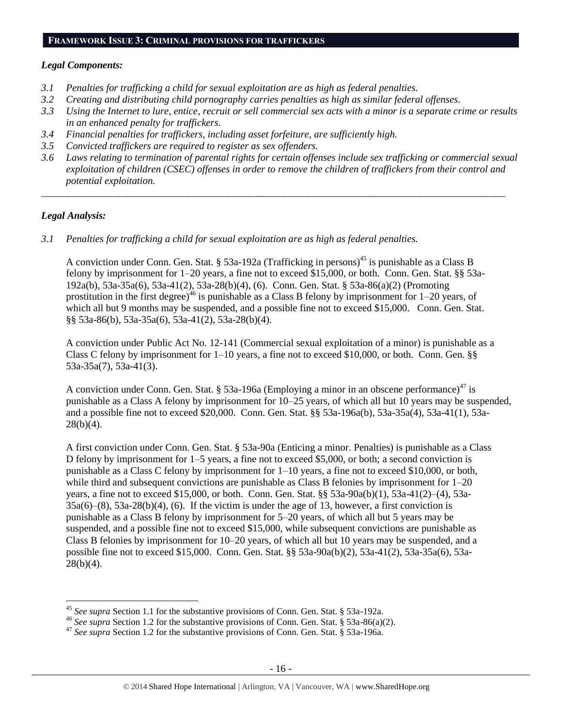# **FRAMEWORK ISSUE 3: CRIMINAL PROVISIONS FOR TRAFFICKERS**

#### *Legal Components:*

- *3.1 Penalties for trafficking a child for sexual exploitation are as high as federal penalties.*
- *3.2 Creating and distributing child pornography carries penalties as high as similar federal offenses.*
- *3.3 Using the Internet to lure, entice, recruit or sell commercial sex acts with a minor is a separate crime or results in an enhanced penalty for traffickers.*
- *3.4 Financial penalties for traffickers, including asset forfeiture, are sufficiently high.*
- *3.5 Convicted traffickers are required to register as sex offenders.*
- *3.6 Laws relating to termination of parental rights for certain offenses include sex trafficking or commercial sexual exploitation of children (CSEC) offenses in order to remove the children of traffickers from their control and potential exploitation.*

*\_\_\_\_\_\_\_\_\_\_\_\_\_\_\_\_\_\_\_\_\_\_\_\_\_\_\_\_\_\_\_\_\_\_\_\_\_\_\_\_\_\_\_\_\_\_\_\_\_\_\_\_\_\_\_\_\_\_\_\_\_\_\_\_\_\_\_\_\_\_\_\_\_\_\_\_\_\_\_\_\_\_\_\_\_\_\_\_\_\_\_\_*

#### *Legal Analysis:*

 $\overline{a}$ 

*3.1 Penalties for trafficking a child for sexual exploitation are as high as federal penalties.* 

A conviction under Conn. Gen. Stat. § 53a-192a (Trafficking in persons)<sup>45</sup> is punishable as a Class B felony by imprisonment for 1–20 years, a fine not to exceed \$15,000, or both. Conn. Gen. Stat. §§ 53a-192a(b), 53a-35a(6), 53a-41(2), 53a-28(b)(4), (6). Conn. Gen. Stat. § 53a-86(a)(2) (Promoting prostitution in the first degree)<sup>46</sup> is punishable as a Class B felony by imprisonment for  $1-20$  years, of which all but 9 months may be suspended, and a possible fine not to exceed \$15,000. Conn. Gen. Stat. §§ 53a-86(b), 53a-35a(6), 53a-41(2), 53a-28(b)(4).

A conviction under Public Act No. 12-141 (Commercial sexual exploitation of a minor) is punishable as a Class C felony by imprisonment for  $1-10$  years, a fine not to exceed \$10,000, or both. Conn. Gen. §§ 53a-35a(7), 53a-41(3).

A conviction under Conn. Gen. Stat. § 53a-196a (Employing a minor in an obscene performance)<sup>47</sup> is punishable as a Class A felony by imprisonment for 10–25 years, of which all but 10 years may be suspended, and a possible fine not to exceed \$20,000. Conn. Gen. Stat. §§ 53a-196a(b), 53a-35a(4), 53a-41(1), 53a- $28(b)(4)$ .

A first conviction under Conn. Gen. Stat. § 53a-90a (Enticing a minor. Penalties) is punishable as a Class D felony by imprisonment for 1–5 years, a fine not to exceed \$5,000, or both; a second conviction is punishable as a Class C felony by imprisonment for 1–10 years, a fine not to exceed \$10,000, or both, while third and subsequent convictions are punishable as Class B felonies by imprisonment for  $1-20$ years, a fine not to exceed \$15,000, or both. Conn. Gen. Stat. §§ 53a-90a(b)(1), 53a-41(2)–(4), 53a-35a(6)–(8), 53a-28(b)(4), (6). If the victim is under the age of 13, however, a first conviction is punishable as a Class B felony by imprisonment for 5–20 years, of which all but 5 years may be suspended, and a possible fine not to exceed \$15,000, while subsequent convictions are punishable as Class B felonies by imprisonment for 10–20 years, of which all but 10 years may be suspended, and a possible fine not to exceed \$15,000. Conn. Gen. Stat. §§ 53a-90a(b)(2), 53a-41(2), 53a-35a(6), 53a- $28(b)(4)$ .

<sup>45</sup> *See supra* Section 1.1 for the substantive provisions of Conn. Gen. Stat. § 53a-192a.

<sup>46</sup> *See supra* Section 1.2 for the substantive provisions of Conn. Gen. Stat. § 53a-86(a)(2).

<sup>47</sup> *See supra* Section 1.2 for the substantive provisions of Conn. Gen. Stat. § 53a-196a.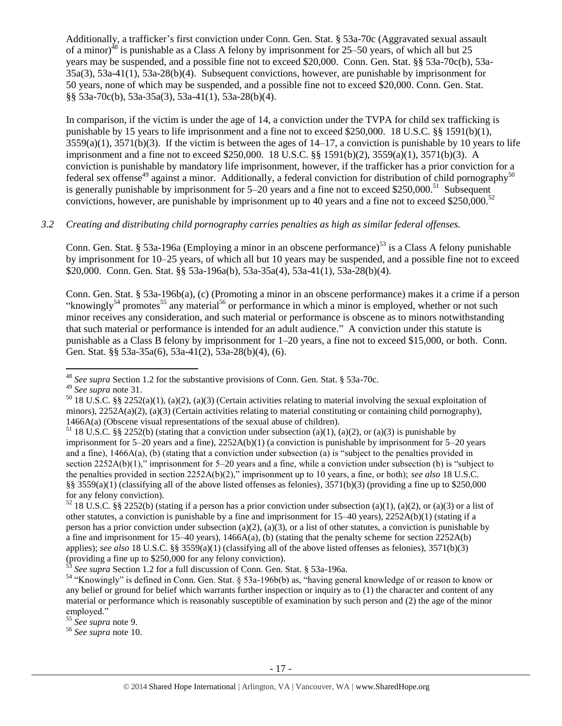Additionally, a trafficker's first conviction under Conn. Gen. Stat. § 53a-70c (Aggravated sexual assault of a minor)<sup>48</sup> is punishable as a Class A felony by imprisonment for 25–50 years, of which all but 25 years may be suspended, and a possible fine not to exceed \$20,000. Conn. Gen. Stat. §§ 53a-70c(b), 53a-35a(3), 53a-41(1), 53a-28(b)(4). Subsequent convictions, however, are punishable by imprisonment for 50 years, none of which may be suspended, and a possible fine not to exceed \$20,000. Conn. Gen. Stat. §§ 53a-70c(b), 53a-35a(3), 53a-41(1), 53a-28(b)(4).

In comparison, if the victim is under the age of 14, a conviction under the TVPA for child sex trafficking is punishable by 15 years to life imprisonment and a fine not to exceed \$250,000. 18 U.S.C. §§ 1591(b)(1),  $3559(a)(1)$ ,  $3571(b)(3)$ . If the victim is between the ages of  $14-17$ , a conviction is punishable by 10 years to life imprisonment and a fine not to exceed \$250,000. 18 U.S.C. §§ 1591(b)(2), 3559(a)(1), 3571(b)(3). A conviction is punishable by mandatory life imprisonment, however, if the trafficker has a prior conviction for a federal sex offense<sup>49</sup> against a minor. Additionally, a federal conviction for distribution of child pornography<sup>50</sup> is generally punishable by imprisonment for  $5-20$  years and a fine not to exceed \$250,000.<sup>51</sup> Subsequent convictions, however, are punishable by imprisonment up to 40 years and a fine not to exceed \$250,000.<sup>52</sup>

## *3.2 Creating and distributing child pornography carries penalties as high as similar federal offenses.*

Conn. Gen. Stat. § 53a-196a (Employing a minor in an obscene performance)<sup>53</sup> is a Class A felony punishable by imprisonment for 10–25 years, of which all but 10 years may be suspended, and a possible fine not to exceed \$20,000. Conn. Gen. Stat. §§ 53a-196a(b), 53a-35a(4), 53a-41(1), 53a-28(b)(4).

<span id="page-16-0"></span>Conn. Gen. Stat. § 53a-196b(a), (c) (Promoting a minor in an obscene performance) makes it a crime if a person "knowingly<sup>54</sup> promotes<sup>55</sup> any material<sup>56</sup> or performance in which a minor is employed, whether or not such minor receives any consideration, and such material or performance is obscene as to minors notwithstanding that such material or performance is intended for an adult audience." A conviction under this statute is punishable as a Class B felony by imprisonment for 1–20 years, a fine not to exceed \$15,000, or both. Conn. Gen. Stat. §§ 53a-35a(6), 53a-41(2), 53a-28(b)(4), (6).

<sup>48</sup> *See supra* Section 1.2 for the substantive provisions of Conn. Gen. Stat. § 53a-70c.

<sup>49</sup> *See supra* note [31.](#page-9-0)

 $50$  18 U.S.C. §§ 2252(a)(1), (a)(2), (a)(3) (Certain activities relating to material involving the sexual exploitation of minors),  $2252A(a)(2)$ ,  $(a)(3)$  (Certain activities relating to material constituting or containing child pornography), 1466A(a) (Obscene visual representations of the sexual abuse of children).

<sup>&</sup>lt;sup>51</sup> 18 U.S.C. §§ 2252(b) (stating that a conviction under subsection (a)(1), (a)(2), or (a)(3) is punishable by imprisonment for  $5-20$  years and a fine),  $2252A(b)(1)$  (a conviction is punishable by imprisonment for  $5-20$  years and a fine), 1466A(a), (b) (stating that a conviction under subsection (a) is "subject to the penalties provided in section 2252A(b)(1)," imprisonment for 5–20 years and a fine, while a conviction under subsection (b) is "subject to the penalties provided in section 2252A(b)(2)," imprisonment up to 10 years, a fine, or both); *see also* 18 U.S.C. §§  $3559(a)(1)$  (classifying all of the above listed offenses as felonies),  $3571(b)(3)$  (providing a fine up to \$250,000 for any felony conviction).

<sup>&</sup>lt;sup>52</sup> 18 U.S.C. §§ 2252(b) (stating if a person has a prior conviction under subsection (a)(1), (a)(2), or (a)(3) or a list of other statutes, a conviction is punishable by a fine and imprisonment for 15–40 years), 2252A(b)(1) (stating if a person has a prior conviction under subsection (a)(2), (a)(3), or a list of other statutes, a conviction is punishable by a fine and imprisonment for  $15-40$  years),  $1466A(a)$ , (b) (stating that the penalty scheme for section  $2252A(b)$ applies); *see also* 18 U.S.C. §§ 3559(a)(1) (classifying all of the above listed offenses as felonies), 3571(b)(3) (providing a fine up to \$250,000 for any felony conviction).

<sup>53</sup> *See supra* Section 1.2 for a full discussion of Conn. Gen. Stat. § 53a-196a.

<sup>54</sup> "Knowingly" is defined in Conn. Gen. Stat. § 53a-196b(b) as, "having general knowledge of or reason to know or any belief or ground for belief which warrants further inspection or inquiry as to (1) the character and content of any material or performance which is reasonably susceptible of examination by such person and (2) the age of the minor employed."

<sup>55</sup> *See supra* note [9.](#page-2-0)

<sup>56</sup> *See supra* note [10.](#page-2-1)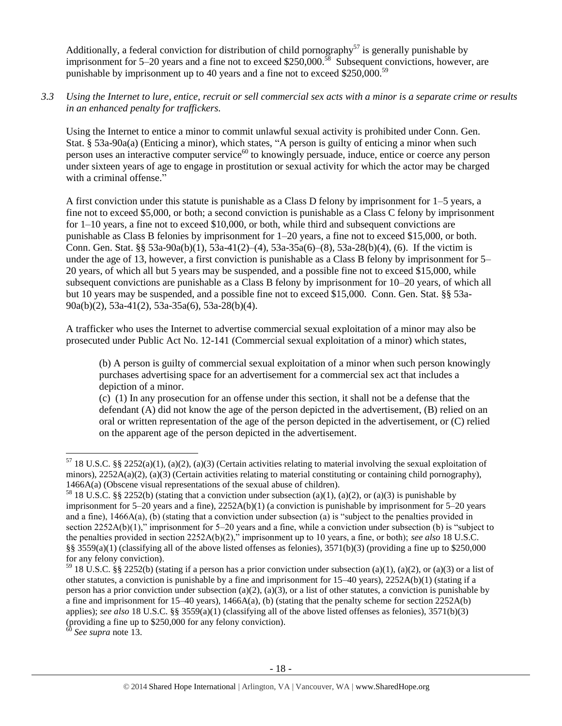Additionally, a federal conviction for distribution of child pornography<sup>57</sup> is generally punishable by imprisonment for 5–20 years and a fine not to exceed \$250,000.<sup>58</sup> Subsequent convictions, however, are punishable by imprisonment up to 40 years and a fine not to exceed \$250,000.<sup>59</sup>

*3.3 Using the Internet to lure, entice, recruit or sell commercial sex acts with a minor is a separate crime or results in an enhanced penalty for traffickers.*

Using the Internet to entice a minor to commit unlawful sexual activity is prohibited under Conn. Gen. Stat. § 53a-90a(a) (Enticing a minor), which states, "A person is guilty of enticing a minor when such person uses an interactive computer service<sup>60</sup> to knowingly persuade, induce, entice or coerce any person under sixteen years of age to engage in prostitution or sexual activity for which the actor may be charged with a criminal offense."

A first conviction under this statute is punishable as a Class D felony by imprisonment for 1–5 years, a fine not to exceed \$5,000, or both; a second conviction is punishable as a Class C felony by imprisonment for 1–10 years, a fine not to exceed \$10,000, or both, while third and subsequent convictions are punishable as Class B felonies by imprisonment for 1–20 years, a fine not to exceed \$15,000, or both. Conn. Gen. Stat. §§ 53a-90a(b)(1), 53a-41(2)–(4), 53a-35a(6)–(8), 53a-28(b)(4), (6). If the victim is under the age of 13, however, a first conviction is punishable as a Class B felony by imprisonment for 5– 20 years, of which all but 5 years may be suspended, and a possible fine not to exceed \$15,000, while subsequent convictions are punishable as a Class B felony by imprisonment for 10–20 years, of which all but 10 years may be suspended, and a possible fine not to exceed \$15,000. Conn. Gen. Stat. §§ 53a-90a(b)(2), 53a-41(2), 53a-35a(6), 53a-28(b)(4).

A trafficker who uses the Internet to advertise commercial sexual exploitation of a minor may also be prosecuted under Public Act No. 12-141 (Commercial sexual exploitation of a minor) which states,

(b) A person is guilty of commercial sexual exploitation of a minor when such person knowingly purchases advertising space for an advertisement for a commercial sex act that includes a depiction of a minor.

(c) (1) In any prosecution for an offense under this section, it shall not be a defense that the defendant (A) did not know the age of the person depicted in the advertisement, (B) relied on an oral or written representation of the age of the person depicted in the advertisement, or (C) relied on the apparent age of the person depicted in the advertisement.

<sup>60</sup> *See supra* note [13.](#page-3-0)

<sup>&</sup>lt;sup>57</sup> 18 U.S.C. §§ 2252(a)(1), (a)(2), (a)(3) (Certain activities relating to material involving the sexual exploitation of minors), 2252A(a)(2), (a)(3) (Certain activities relating to material constituting or containing child pornography), 1466A(a) (Obscene visual representations of the sexual abuse of children).

<sup>&</sup>lt;sup>58</sup> 18 U.S.C. §§ 2252(b) (stating that a conviction under subsection (a)(1), (a)(2), or (a)(3) is punishable by imprisonment for 5–20 years and a fine), 2252A(b)(1) (a conviction is punishable by imprisonment for 5–20 years and a fine),  $1466A(a)$ , (b) (stating that a conviction under subsection (a) is "subject to the penalties provided in section 2252A(b)(1)," imprisonment for 5–20 years and a fine, while a conviction under subsection (b) is "subject to the penalties provided in section 2252A(b)(2)," imprisonment up to 10 years, a fine, or both); *see also* 18 U.S.C. §§ 3559(a)(1) (classifying all of the above listed offenses as felonies),  $3571(b)(3)$  (providing a fine up to \$250,000 for any felony conviction).

<sup>&</sup>lt;sup>59</sup> 18 U.S.C. §§ 2252(b) (stating if a person has a prior conviction under subsection (a)(1), (a)(2), or (a)(3) or a list of other statutes, a conviction is punishable by a fine and imprisonment for 15–40 years), 2252A(b)(1) (stating if a person has a prior conviction under subsection (a)(2), (a)(3), or a list of other statutes, a conviction is punishable by a fine and imprisonment for 15–40 years), 1466A(a), (b) (stating that the penalty scheme for section 2252A(b) applies); *see also* 18 U.S.C. §§ 3559(a)(1) (classifying all of the above listed offenses as felonies), 3571(b)(3) (providing a fine up to \$250,000 for any felony conviction).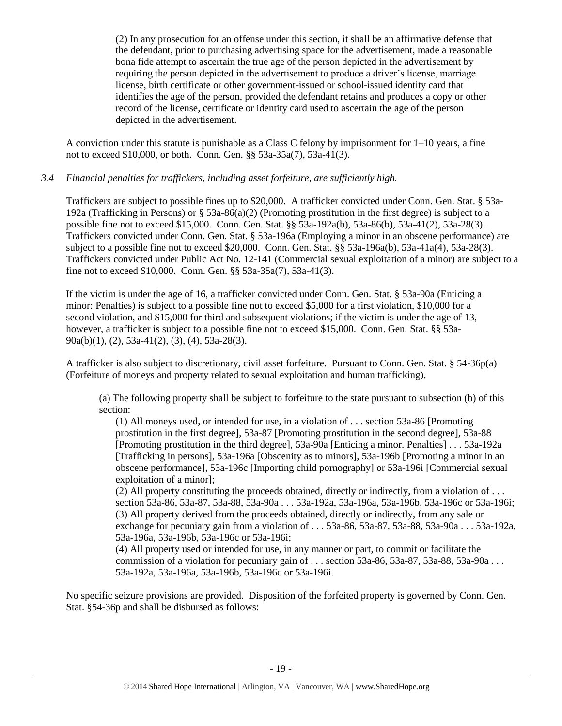(2) In any prosecution for an offense under this section, it shall be an affirmative defense that the defendant, prior to purchasing advertising space for the advertisement, made a reasonable bona fide attempt to ascertain the true age of the person depicted in the advertisement by requiring the person depicted in the advertisement to produce a driver's license, marriage license, birth certificate or other government-issued or school-issued identity card that identifies the age of the person, provided the defendant retains and produces a copy or other record of the license, certificate or identity card used to ascertain the age of the person depicted in the advertisement.

A conviction under this statute is punishable as a Class C felony by imprisonment for 1–10 years, a fine not to exceed \$10,000, or both. Conn. Gen. §§ 53a-35a(7), 53a-41(3).

#### *3.4 Financial penalties for traffickers, including asset forfeiture, are sufficiently high.*

Traffickers are subject to possible fines up to \$20,000. A trafficker convicted under Conn. Gen. Stat. § 53a-192a (Trafficking in Persons) or § 53a-86(a)(2) (Promoting prostitution in the first degree) is subject to a possible fine not to exceed \$15,000. Conn. Gen. Stat. §§ 53a-192a(b), 53a-86(b), 53a-41(2), 53a-28(3). Traffickers convicted under Conn. Gen. Stat. § 53a-196a (Employing a minor in an obscene performance) are subject to a possible fine not to exceed \$20,000. Conn. Gen. Stat. §§ 53a-196a(b), 53a-41a(4), 53a-28(3). Traffickers convicted under Public Act No. 12-141 (Commercial sexual exploitation of a minor) are subject to a fine not to exceed \$10,000. Conn. Gen. §§ 53a-35a(7), 53a-41(3).

If the victim is under the age of 16, a trafficker convicted under Conn. Gen. Stat. § 53a-90a (Enticing a minor: Penalties) is subject to a possible fine not to exceed \$5,000 for a first violation, \$10,000 for a second violation, and \$15,000 for third and subsequent violations; if the victim is under the age of 13, however, a trafficker is subject to a possible fine not to exceed \$15,000. Conn. Gen. Stat.  $8\$  53a-90a(b)(1), (2), 53a-41(2), (3), (4), 53a-28(3).

A trafficker is also subject to discretionary, civil asset forfeiture. Pursuant to Conn. Gen. Stat. § 54-36p(a) (Forfeiture of moneys and property related to sexual exploitation and human trafficking),

(a) The following property shall be subject to forfeiture to the state pursuant to subsection (b) of this section:

(1) All moneys used, or intended for use, in a violation of . . . section 53a-86 [Promoting prostitution in the first degree], 53a-87 [Promoting prostitution in the second degree], 53a-88 [Promoting prostitution in the third degree], 53a-90a [Enticing a minor. Penalties] . . . 53a-192a [Trafficking in persons], 53a-196a [Obscenity as to minors], 53a-196b [Promoting a minor in an obscene performance], 53a-196c [Importing child pornography] or 53a-196i [Commercial sexual exploitation of a minor];

(2) All property constituting the proceeds obtained, directly or indirectly, from a violation of . . . section 53a-86, 53a-87, 53a-88, 53a-90a . . . 53a-192a, 53a-196a, 53a-196b, 53a-196c or 53a-196i; (3) All property derived from the proceeds obtained, directly or indirectly, from any sale or exchange for pecuniary gain from a violation of . . . 53a-86, 53a-87, 53a-88, 53a-90a . . . 53a-192a, 53a-196a, 53a-196b, 53a-196c or 53a-196i;

(4) All property used or intended for use, in any manner or part, to commit or facilitate the commission of a violation for pecuniary gain of ... section  $53a-86$ ,  $53a-87$ ,  $53a-88$ ,  $53a-90a$ ... 53a-192a, 53a-196a, 53a-196b, 53a-196c or 53a-196i.

No specific seizure provisions are provided. Disposition of the forfeited property is governed by Conn. Gen. Stat. §54-36p and shall be disbursed as follows: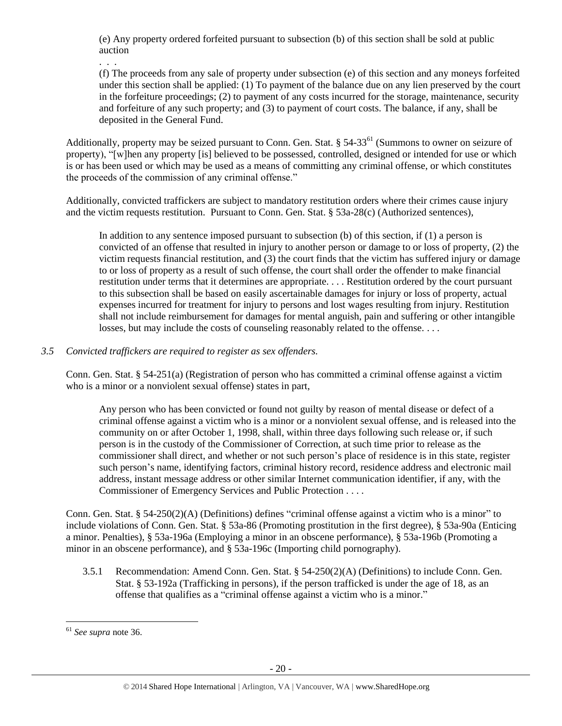(e) Any property ordered forfeited pursuant to subsection (b) of this section shall be sold at public auction

. . .

(f) The proceeds from any sale of property under subsection (e) of this section and any moneys forfeited under this section shall be applied: (1) To payment of the balance due on any lien preserved by the court in the forfeiture proceedings; (2) to payment of any costs incurred for the storage, maintenance, security and forfeiture of any such property; and (3) to payment of court costs. The balance, if any, shall be deposited in the General Fund.

Additionally, property may be seized pursuant to Conn. Gen. Stat. § 54-33<sup>61</sup> (Summons to owner on seizure of property), "[w]hen any property [is] believed to be possessed, controlled, designed or intended for use or which is or has been used or which may be used as a means of committing any criminal offense, or which constitutes the proceeds of the commission of any criminal offense."

Additionally, convicted traffickers are subject to mandatory restitution orders where their crimes cause injury and the victim requests restitution. Pursuant to Conn. Gen. Stat. § 53a-28(c) (Authorized sentences),

In addition to any sentence imposed pursuant to subsection (b) of this section, if (1) a person is convicted of an offense that resulted in injury to another person or damage to or loss of property, (2) the victim requests financial restitution, and (3) the court finds that the victim has suffered injury or damage to or loss of property as a result of such offense, the court shall order the offender to make financial restitution under terms that it determines are appropriate. . . . Restitution ordered by the court pursuant to this subsection shall be based on easily ascertainable damages for injury or loss of property, actual expenses incurred for treatment for injury to persons and lost wages resulting from injury. Restitution shall not include reimbursement for damages for mental anguish, pain and suffering or other intangible losses, but may include the costs of counseling reasonably related to the offense. . . .

## *3.5 Convicted traffickers are required to register as sex offenders.*

Conn. Gen. Stat. § 54-251(a) (Registration of person who has committed a criminal offense against a victim who is a minor or a nonviolent sexual offense) states in part,

Any person who has been convicted or found not guilty by reason of mental disease or defect of a criminal offense against a victim who is a minor or a nonviolent sexual offense, and is released into the community on or after October 1, 1998, shall, within three days following such release or, if such person is in the custody of the Commissioner of Correction, at such time prior to release as the commissioner shall direct, and whether or not such person's place of residence is in this state, register such person's name, identifying factors, criminal history record, residence address and electronic mail address, instant message address or other similar Internet communication identifier, if any, with the Commissioner of Emergency Services and Public Protection . . . .

Conn. Gen. Stat. § 54-250(2)(A) (Definitions) defines "criminal offense against a victim who is a minor" to include violations of Conn. Gen. Stat. § 53a-86 (Promoting prostitution in the first degree), § 53a-90a (Enticing a minor. Penalties), § 53a-196a (Employing a minor in an obscene performance), § 53a-196b (Promoting a minor in an obscene performance), and § 53a-196c (Importing child pornography).

3.5.1 Recommendation: Amend Conn. Gen. Stat. § 54-250(2)(A) (Definitions) to include Conn. Gen. Stat. § 53-192a (Trafficking in persons), if the person trafficked is under the age of 18, as an offense that qualifies as a "criminal offense against a victim who is a minor."

<sup>61</sup> *See supra* note [36.](#page-12-0)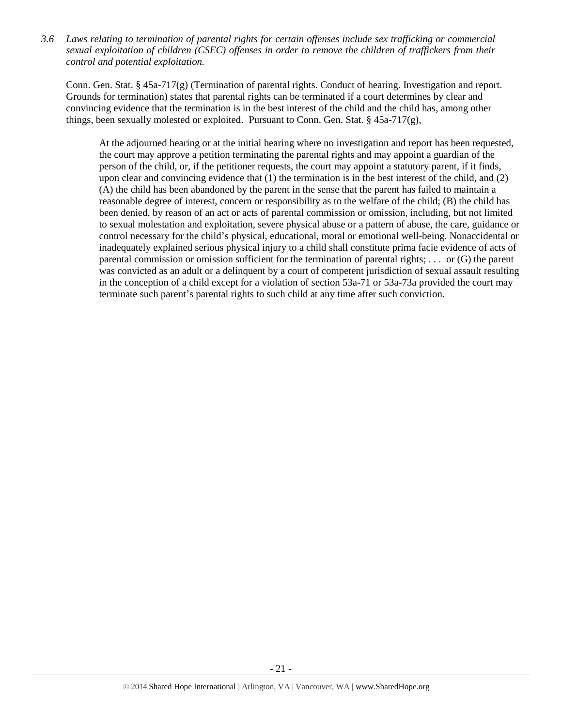*3.6 Laws relating to termination of parental rights for certain offenses include sex trafficking or commercial sexual exploitation of children (CSEC) offenses in order to remove the children of traffickers from their control and potential exploitation.* 

Conn. Gen. Stat. § 45a-717(g) (Termination of parental rights. Conduct of hearing. Investigation and report. Grounds for termination) states that parental rights can be terminated if a court determines by clear and convincing evidence that the termination is in the best interest of the child and the child has, among other things, been sexually molested or exploited. Pursuant to Conn. Gen. Stat.  $\S$  45a-717(g),

At the adjourned hearing or at the initial hearing where no investigation and report has been requested, the court may approve a petition terminating the parental rights and may appoint a guardian of the person of the child, or, if the petitioner requests, the court may appoint a statutory parent, if it finds, upon clear and convincing evidence that (1) the termination is in the best interest of the child, and (2) (A) the child has been abandoned by the parent in the sense that the parent has failed to maintain a reasonable degree of interest, concern or responsibility as to the welfare of the child; (B) the child has been denied, by reason of an act or acts of parental commission or omission, including, but not limited to sexual molestation and exploitation, severe physical abuse or a pattern of abuse, the care, guidance or control necessary for the child's physical, educational, moral or emotional well-being. Nonaccidental or inadequately explained serious physical injury to a child shall constitute prima facie evidence of acts of parental commission or omission sufficient for the termination of parental rights; . . . or (G) the parent was convicted as an adult or a delinquent by a court of competent jurisdiction of sexual assault resulting in the conception of a child except for a violation of section 53a-71 or 53a-73a provided the court may terminate such parent's parental rights to such child at any time after such conviction.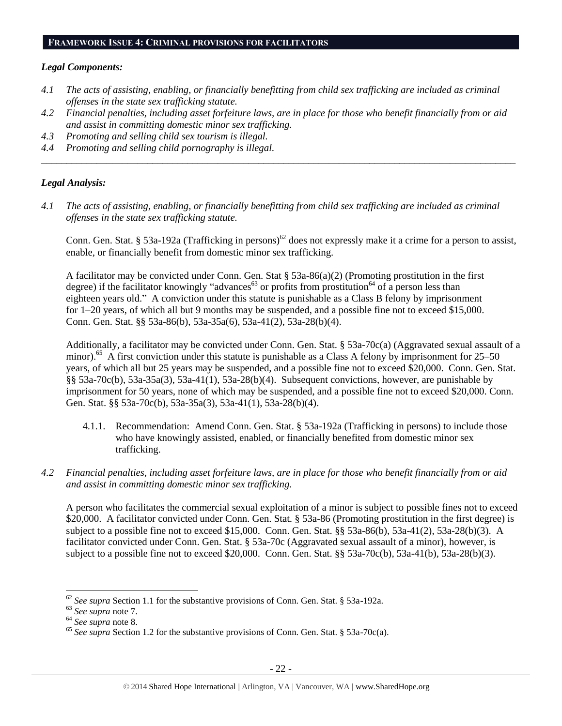#### **FRAMEWORK ISSUE 4: CRIMINAL PROVISIONS FOR FACILITATORS**

#### *Legal Components:*

- *4.1 The acts of assisting, enabling, or financially benefitting from child sex trafficking are included as criminal offenses in the state sex trafficking statute.*
- *4.2 Financial penalties, including asset forfeiture laws, are in place for those who benefit financially from or aid and assist in committing domestic minor sex trafficking.*

*\_\_\_\_\_\_\_\_\_\_\_\_\_\_\_\_\_\_\_\_\_\_\_\_\_\_\_\_\_\_\_\_\_\_\_\_\_\_\_\_\_\_\_\_\_\_\_\_\_\_\_\_\_\_\_\_\_\_\_\_\_\_\_\_\_\_\_\_\_\_\_\_\_\_\_\_\_\_\_\_\_\_\_\_\_\_\_\_\_\_\_\_\_\_*

- *4.3 Promoting and selling child sex tourism is illegal.*
- *4.4 Promoting and selling child pornography is illegal.*

#### *Legal Analysis:*

*4.1 The acts of assisting, enabling, or financially benefitting from child sex trafficking are included as criminal offenses in the state sex trafficking statute.*

Conn. Gen. Stat. § 53a-192a (Trafficking in persons)<sup>62</sup> does not expressly make it a crime for a person to assist, enable, or financially benefit from domestic minor sex trafficking.

A facilitator may be convicted under Conn. Gen. Stat § 53a-86(a)(2) (Promoting prostitution in the first degree) if the facilitator knowingly "advances<sup>63</sup> or profits from prostitution<sup>64</sup> of a person less than eighteen years old." A conviction under this statute is punishable as a Class B felony by imprisonment for 1–20 years, of which all but 9 months may be suspended, and a possible fine not to exceed \$15,000. Conn. Gen. Stat. §§ 53a-86(b), 53a-35a(6), 53a-41(2), 53a-28(b)(4).

Additionally, a facilitator may be convicted under Conn. Gen. Stat. § 53a-70c(a) (Aggravated sexual assault of a minor).<sup>65</sup> A first conviction under this statute is punishable as a Class A felony by imprisonment for 25–50 years, of which all but 25 years may be suspended, and a possible fine not to exceed \$20,000. Conn. Gen. Stat. §§ 53a-70c(b), 53a-35a(3), 53a-41(1), 53a-28(b)(4). Subsequent convictions, however, are punishable by imprisonment for 50 years, none of which may be suspended, and a possible fine not to exceed \$20,000. Conn. Gen. Stat. §§ 53a-70c(b), 53a-35a(3), 53a-41(1), 53a-28(b)(4).

- 4.1.1. Recommendation: Amend Conn. Gen. Stat. § 53a-192a (Trafficking in persons) to include those who have knowingly assisted, enabled, or financially benefited from domestic minor sex trafficking.
- *4.2 Financial penalties, including asset forfeiture laws, are in place for those who benefit financially from or aid and assist in committing domestic minor sex trafficking.*

A person who facilitates the commercial sexual exploitation of a minor is subject to possible fines not to exceed \$20,000. A facilitator convicted under Conn. Gen. Stat. § 53a-86 (Promoting prostitution in the first degree) is subject to a possible fine not to exceed \$15,000. Conn. Gen. Stat. §§ 53a-86(b), 53a-41(2), 53a-28(b)(3). A facilitator convicted under Conn. Gen. Stat. § 53a-70c (Aggravated sexual assault of a minor), however, is subject to a possible fine not to exceed \$20,000. Conn. Gen. Stat. §§ 53a-70c(b), 53a-41(b), 53a-28(b)(3).

<sup>62</sup> *See supra* Section 1.1 for the substantive provisions of Conn. Gen. Stat. § 53a-192a.

<sup>63</sup> *See supra* note [7.](#page-2-2)

<sup>64</sup> *See supra* note [8.](#page-2-3)

<sup>&</sup>lt;sup>65</sup> See supra Section 1.2 for the substantive provisions of Conn. Gen. Stat. § 53a-70c(a).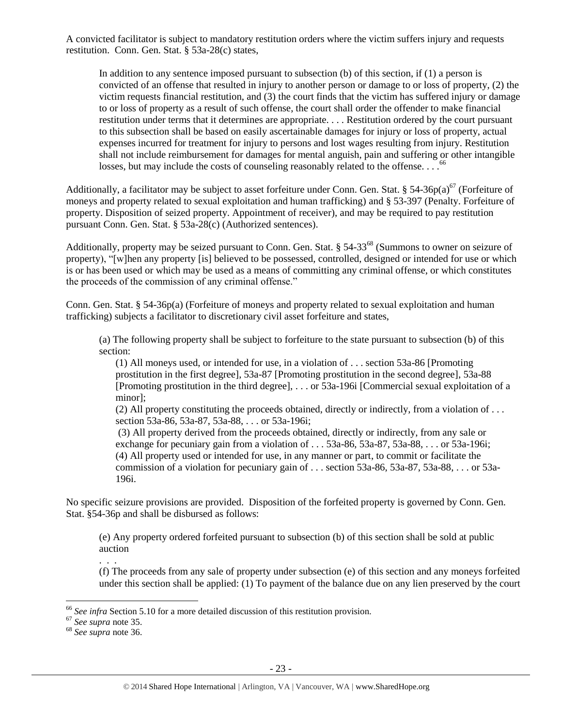A convicted facilitator is subject to mandatory restitution orders where the victim suffers injury and requests restitution. Conn. Gen. Stat. § 53a-28(c) states,

In addition to any sentence imposed pursuant to subsection (b) of this section, if (1) a person is convicted of an offense that resulted in injury to another person or damage to or loss of property, (2) the victim requests financial restitution, and (3) the court finds that the victim has suffered injury or damage to or loss of property as a result of such offense, the court shall order the offender to make financial restitution under terms that it determines are appropriate. . . . Restitution ordered by the court pursuant to this subsection shall be based on easily ascertainable damages for injury or loss of property, actual expenses incurred for treatment for injury to persons and lost wages resulting from injury. Restitution shall not include reimbursement for damages for mental anguish, pain and suffering or other intangible losses, but may include the costs of counseling reasonably related to the offense.  $\ldots$ <sup>66</sup>

Additionally, a facilitator may be subject to asset forfeiture under Conn. Gen. Stat. § 54-36p(a)<sup>67</sup> (Forfeiture of moneys and property related to sexual exploitation and human trafficking) and § 53-397 (Penalty. Forfeiture of property. Disposition of seized property. Appointment of receiver), and may be required to pay restitution pursuant Conn. Gen. Stat. § 53a-28(c) (Authorized sentences).

Additionally, property may be seized pursuant to Conn. Gen. Stat. § 54-33<sup>68</sup> (Summons to owner on seizure of property), "[w]hen any property [is] believed to be possessed, controlled, designed or intended for use or which is or has been used or which may be used as a means of committing any criminal offense, or which constitutes the proceeds of the commission of any criminal offense."

Conn. Gen. Stat. § 54-36p(a) (Forfeiture of moneys and property related to sexual exploitation and human trafficking) subjects a facilitator to discretionary civil asset forfeiture and states,

(a) The following property shall be subject to forfeiture to the state pursuant to subsection (b) of this section:

(1) All moneys used, or intended for use, in a violation of . . . section 53a-86 [Promoting prostitution in the first degree], 53a-87 [Promoting prostitution in the second degree], 53a-88 [Promoting prostitution in the third degree], . . . or 53a-196i [Commercial sexual exploitation of a minor];

(2) All property constituting the proceeds obtained, directly or indirectly, from a violation of . . . section 53a-86, 53a-87, 53a-88, . . . or 53a-196i;

(3) All property derived from the proceeds obtained, directly or indirectly, from any sale or exchange for pecuniary gain from a violation of . . . 53a-86, 53a-87, 53a-88, . . . or 53a-196i; (4) All property used or intended for use, in any manner or part, to commit or facilitate the commission of a violation for pecuniary gain of . . . section 53a-86, 53a-87, 53a-88, . . . or 53a-196i.

No specific seizure provisions are provided. Disposition of the forfeited property is governed by Conn. Gen. Stat. §54-36p and shall be disbursed as follows:

(e) Any property ordered forfeited pursuant to subsection (b) of this section shall be sold at public auction

. . .

(f) The proceeds from any sale of property under subsection (e) of this section and any moneys forfeited under this section shall be applied:  $(1)$  To payment of the balance due on any lien preserved by the court

<sup>66</sup> *See infra* Section 5.10 for a more detailed discussion of this restitution provision.

<sup>67</sup> *See supra* note [35.](#page-11-0)

<sup>68</sup> *See supra* note [36.](#page-12-0)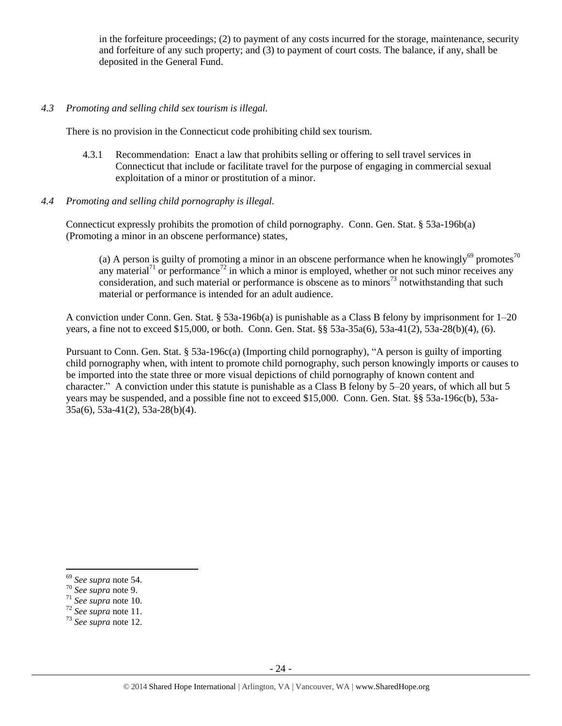in the forfeiture proceedings; (2) to payment of any costs incurred for the storage, maintenance, security and forfeiture of any such property; and (3) to payment of court costs. The balance, if any, shall be deposited in the General Fund.

#### *4.3 Promoting and selling child sex tourism is illegal.*

There is no provision in the Connecticut code prohibiting child sex tourism.

- 4.3.1 Recommendation: Enact a law that prohibits selling or offering to sell travel services in Connecticut that include or facilitate travel for the purpose of engaging in commercial sexual exploitation of a minor or prostitution of a minor.
- *4.4 Promoting and selling child pornography is illegal.*

Connecticut expressly prohibits the promotion of child pornography. Conn. Gen. Stat. § 53a-196b(a) (Promoting a minor in an obscene performance) states,

(a) A person is guilty of promoting a minor in an obscene performance when he knowingly<sup>69</sup> promotes<sup>70</sup> any material<sup>71</sup> or performance<sup>72</sup> in which a minor is employed, whether or not such minor receives any consideration, and such material or performance is obscene as to minors<sup>73</sup> notwithstanding that such material or performance is intended for an adult audience.

A conviction under Conn. Gen. Stat. § 53a-196b(a) is punishable as a Class B felony by imprisonment for 1–20 years, a fine not to exceed \$15,000, or both. Conn. Gen. Stat. §§ 53a-35a(6), 53a-41(2), 53a-28(b)(4), (6).

Pursuant to Conn. Gen. Stat. § 53a-196c(a) (Importing child pornography), "A person is guilty of importing child pornography when, with intent to promote child pornography, such person knowingly imports or causes to be imported into the state three or more visual depictions of child pornography of known content and character." A conviction under this statute is punishable as a Class B felony by 5–20 years, of which all but 5 years may be suspended, and a possible fine not to exceed \$15,000. Conn. Gen. Stat. §§ 53a-196c(b), 53a-35a(6), 53a-41(2), 53a-28(b)(4).

<sup>69</sup> *See supra* note [54.](#page-16-0) 

<sup>70</sup> *See supra* note [9.](#page-2-0)

<sup>71</sup> *See supra* note [10.](#page-2-1)

<sup>72</sup> *See supra* note [11.](#page-2-4)

<sup>73</sup> *See supra* note [12.](#page-2-5)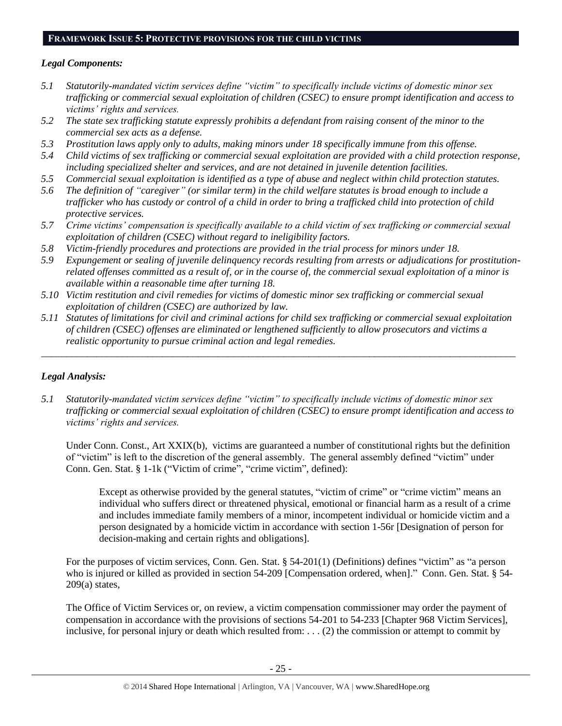#### **FRAMEWORK ISSUE 5: PROTECTIVE PROVISIONS FOR THE CHILD VICTIMS**

# *Legal Components:*

- *5.1 Statutorily-mandated victim services define "victim" to specifically include victims of domestic minor sex trafficking or commercial sexual exploitation of children (CSEC) to ensure prompt identification and access to victims' rights and services.*
- *5.2 The state sex trafficking statute expressly prohibits a defendant from raising consent of the minor to the commercial sex acts as a defense.*
- *5.3 Prostitution laws apply only to adults, making minors under 18 specifically immune from this offense.*
- *5.4 Child victims of sex trafficking or commercial sexual exploitation are provided with a child protection response, including specialized shelter and services, and are not detained in juvenile detention facilities.*
- *5.5 Commercial sexual exploitation is identified as a type of abuse and neglect within child protection statutes.*
- *5.6 The definition of "caregiver" (or similar term) in the child welfare statutes is broad enough to include a trafficker who has custody or control of a child in order to bring a trafficked child into protection of child protective services.*
- *5.7 Crime victims' compensation is specifically available to a child victim of sex trafficking or commercial sexual exploitation of children (CSEC) without regard to ineligibility factors.*
- *5.8 Victim-friendly procedures and protections are provided in the trial process for minors under 18.*
- *5.9 Expungement or sealing of juvenile delinquency records resulting from arrests or adjudications for prostitutionrelated offenses committed as a result of, or in the course of, the commercial sexual exploitation of a minor is available within a reasonable time after turning 18.*
- *5.10 Victim restitution and civil remedies for victims of domestic minor sex trafficking or commercial sexual exploitation of children (CSEC) are authorized by law.*
- *5.11 Statutes of limitations for civil and criminal actions for child sex trafficking or commercial sexual exploitation of children (CSEC) offenses are eliminated or lengthened sufficiently to allow prosecutors and victims a realistic opportunity to pursue criminal action and legal remedies.*

*\_\_\_\_\_\_\_\_\_\_\_\_\_\_\_\_\_\_\_\_\_\_\_\_\_\_\_\_\_\_\_\_\_\_\_\_\_\_\_\_\_\_\_\_\_\_\_\_\_\_\_\_\_\_\_\_\_\_\_\_\_\_\_\_\_\_\_\_\_\_\_\_\_\_\_\_\_\_\_\_\_\_\_\_\_\_\_\_\_\_\_\_\_\_*

# *Legal Analysis:*

*5.1 Statutorily-mandated victim services define "victim" to specifically include victims of domestic minor sex trafficking or commercial sexual exploitation of children (CSEC) to ensure prompt identification and access to victims' rights and services.* 

Under Conn. Const., Art XXIX(b), victims are guaranteed a number of constitutional rights but the definition of "victim" is left to the discretion of the general assembly. The general assembly defined "victim" under Conn. Gen. Stat. § 1-1k ("Victim of crime", "crime victim", defined):

Except as otherwise provided by the general statutes, "victim of crime" or "crime victim" means an individual who suffers direct or threatened physical, emotional or financial harm as a result of a crime and includes immediate family members of a minor, incompetent individual or homicide victim and a person designated by a homicide victim in accordance with section 1-56r [Designation of person for decision-making and certain rights and obligations].

For the purposes of victim services, Conn. Gen. Stat. § 54-201(1) (Definitions) defines "victim" as "a person who is injured or killed as provided in [section 54-209](https://www.lexis.com/research/buttonTFLink?_m=8b18f590ff53732c9db250a40b78b252&_xfercite=%3ccite%20cc%3d%22USA%22%3e%3c%21%5bCDATA%5bConn.%20Gen.%20Stat.%20%a7%2054-201%5d%5d%3e%3c%2fcite%3e&_butType=4&_butStat=0&_butNum=4&_butInline=1&_butinfo=CTCODE%2054-209&_fmtstr=FULL&docnum=1&_startdoc=1&wchp=dGLbVzk-zSkAz&_md5=2c6cfce5aa2356fa9f15bb65bdb27b13) [Compensation ordered, when]." Conn. Gen. Stat. § 54-209(a) states,

The Office of Victim Services or, on review, a victim compensation commissioner may order the payment of compensation in accordance with the provisions of sections 54-201 to 54-233 [Chapter 968 Victim Services], inclusive, for personal injury or death which resulted from: . . . (2) the commission or attempt to commit by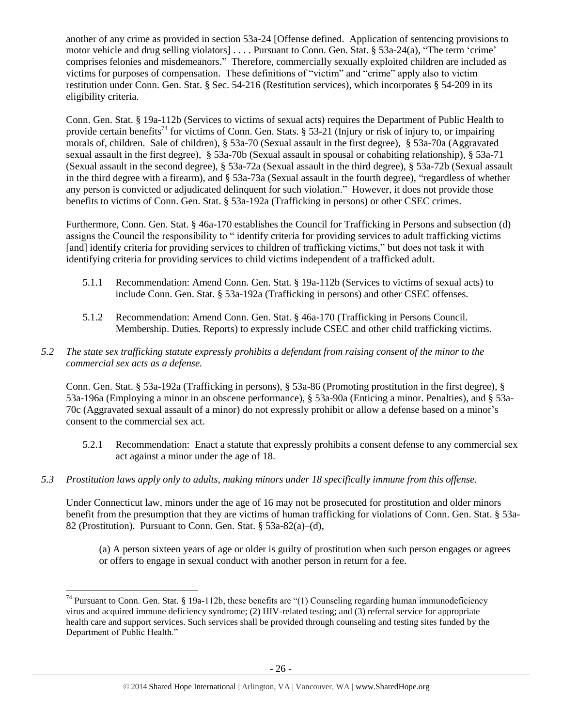another of any crime as provided in section 53a-24 [Offense defined. Application of sentencing provisions to motor vehicle and drug selling violators] . . . . Pursuant to Conn. Gen. Stat. § 53a-24(a), "The term 'crime' comprises felonies and misdemeanors." Therefore, commercially sexually exploited children are included as victims for purposes of compensation. These definitions of "victim" and "crime" apply also to victim restitution under Conn. Gen. Stat. § Sec. 54-216 (Restitution services), which incorporates § 54-209 in its eligibility criteria.

Conn. Gen. Stat. § 19a-112b (Services to victims of sexual acts) requires the Department of Public Health to provide certain benefits<sup>74</sup> for victims of Conn. Gen. Stats. § 53-21 (Injury or risk of injury to, or impairing morals of, children. Sale of children), § 53a-70 (Sexual assault in the first degree), § 53a-70a (Aggravated sexual assault in the first degree), § 53a-70b (Sexual assault in spousal or cohabiting relationship), § 53a-71 (Sexual assault in the second degree), § 53a-72a (Sexual assault in the third degree), § 53a-72b (Sexual assault in the third degree with a firearm), and § 53a-73a (Sexual assault in the fourth degree), "regardless of whether any person is convicted or adjudicated delinquent for such violation." However, it does not provide those benefits to victims of Conn. Gen. Stat. § 53a-192a (Trafficking in persons) or other CSEC crimes.

Furthermore, Conn. Gen. Stat. § 46a-170 establishes the Council for Trafficking in Persons and subsection (d) assigns the Council the responsibility to " identify criteria for providing services to adult trafficking victims [and] identify criteria for providing services to children of trafficking victims," but does not task it with identifying criteria for providing services to child victims independent of a trafficked adult.

- 5.1.1 Recommendation: Amend Conn. Gen. Stat. § 19a-112b (Services to victims of sexual acts) to include Conn. Gen. Stat. § 53a-192a (Trafficking in persons) and other CSEC offenses.
- 5.1.2 Recommendation: Amend Conn. Gen. Stat. § 46a-170 (Trafficking in Persons Council. Membership. Duties. Reports) to expressly include CSEC and other child trafficking victims.

# *5.2 The state sex trafficking statute expressly prohibits a defendant from raising consent of the minor to the commercial sex acts as a defense.*

Conn. Gen. Stat. § 53a-192a (Trafficking in persons), § 53a-86 (Promoting prostitution in the first degree), § 53a-196a (Employing a minor in an obscene performance), § 53a-90a (Enticing a minor. Penalties), and § 53a-70c (Aggravated sexual assault of a minor) do not expressly prohibit or allow a defense based on a minor's consent to the commercial sex act.

- 5.2.1 Recommendation: Enact a statute that expressly prohibits a consent defense to any commercial sex act against a minor under the age of 18.
- *5.3 Prostitution laws apply only to adults, making minors under 18 specifically immune from this offense.*

Under Connecticut law, minors under the age of 16 may not be prosecuted for prostitution and older minors benefit from the presumption that they are victims of human trafficking for violations of Conn. Gen. Stat. § 53a-82 (Prostitution). Pursuant to Conn. Gen. Stat. § 53a-82(a)–(d),

(a) A person sixteen years of age or older is guilty of prostitution when such person engages or agrees or offers to engage in sexual conduct with another person in return for a fee.

 $\overline{a}$  $74$  Pursuant to Conn. Gen. Stat. § 19a-112b, these benefits are "(1) Counseling regarding human immunodeficiency virus and acquired immune deficiency syndrome; (2) HIV-related testing; and (3) referral service for appropriate health care and support services. Such services shall be provided through counseling and testing sites funded by the Department of Public Health."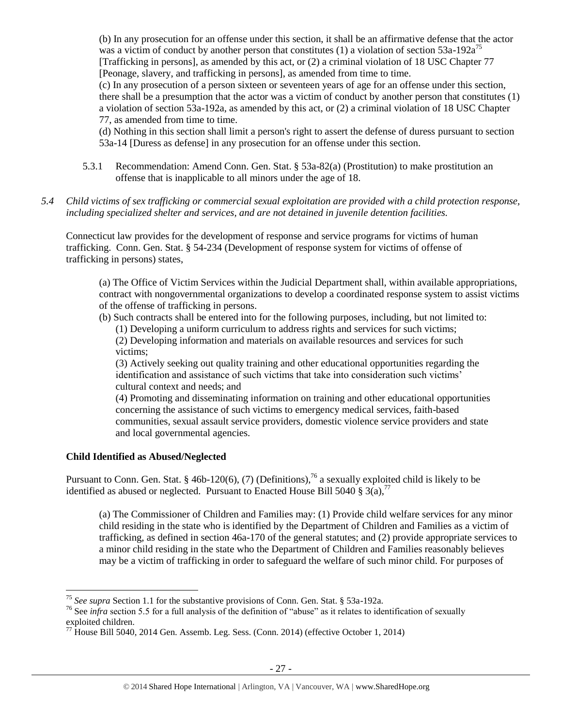(b) In any prosecution for an offense under this section, it shall be an affirmative defense that the actor was a victim of conduct by another person that constitutes (1) a violation of section  $53a-192a^{75}$ [Trafficking in persons], as amended by this act, or (2) a criminal violation of 18 USC Chapter 77 [Peonage, slavery, and trafficking in persons], as amended from time to time.

(c) In any prosecution of a person sixteen or seventeen years of age for an offense under this section, there shall be a presumption that the actor was a victim of conduct by another person that constitutes (1) a violation of section 53a-192a, as amended by this act, or (2) a criminal violation of 18 USC Chapter 77, as amended from time to time.

(d) Nothing in this section shall limit a person's right to assert the defense of duress pursuant to section 53a-14 [Duress as defense] in any prosecution for an offense under this section.

- 5.3.1 Recommendation: Amend Conn. Gen. Stat. § 53a-82(a) (Prostitution) to make prostitution an offense that is inapplicable to all minors under the age of 18.
- *5.4 Child victims of sex trafficking or commercial sexual exploitation are provided with a child protection response, including specialized shelter and services, and are not detained in juvenile detention facilities.*

Connecticut law provides for the development of response and service programs for victims of human trafficking. Conn. Gen. Stat. § 54-234 (Development of response system for victims of offense of trafficking in persons) states,

(a) The Office of Victim Services within the Judicial Department shall, within available appropriations, contract with nongovernmental organizations to develop a coordinated response system to assist victims of the offense of trafficking in persons.

(b) Such contracts shall be entered into for the following purposes, including, but not limited to: (1) Developing a uniform curriculum to address rights and services for such victims;

(2) Developing information and materials on available resources and services for such victims;

(3) Actively seeking out quality training and other educational opportunities regarding the identification and assistance of such victims that take into consideration such victims' cultural context and needs; and

(4) Promoting and disseminating information on training and other educational opportunities concerning the assistance of such victims to emergency medical services, faith-based communities, sexual assault service providers, domestic violence service providers and state and local governmental agencies.

# **Child Identified as Abused/Neglected**

 $\overline{a}$ 

Pursuant to Conn. Gen. Stat. § 46b-120(6), (7) (Definitions),<sup>76</sup> a sexually exploited child is likely to be identified as abused or neglected. Pursuant to Enacted House Bill 5040  $\S 3(a)$ ,<sup>77</sup>

(a) The Commissioner of Children and Families may: (1) Provide child welfare services for any minor child residing in the state who is identified by the Department of Children and Families as a victim of trafficking, as defined in section 46a-170 of the general statutes; and (2) provide appropriate services to a minor child residing in the state who the Department of Children and Families reasonably believes may be a victim of trafficking in order to safeguard the welfare of such minor child. For purposes of

<sup>75</sup> *See supra* Section 1.1 for the substantive provisions of Conn. Gen. Stat. § 53a-192a.

<sup>&</sup>lt;sup>76</sup> See *infra* section 5.5 for a full analysis of the definition of "abuse" as it relates to identification of sexually exploited children.

 $^{77}$  House Bill 5040, 2014 Gen. Assemb. Leg. Sess. (Conn. 2014) (effective October 1, 2014)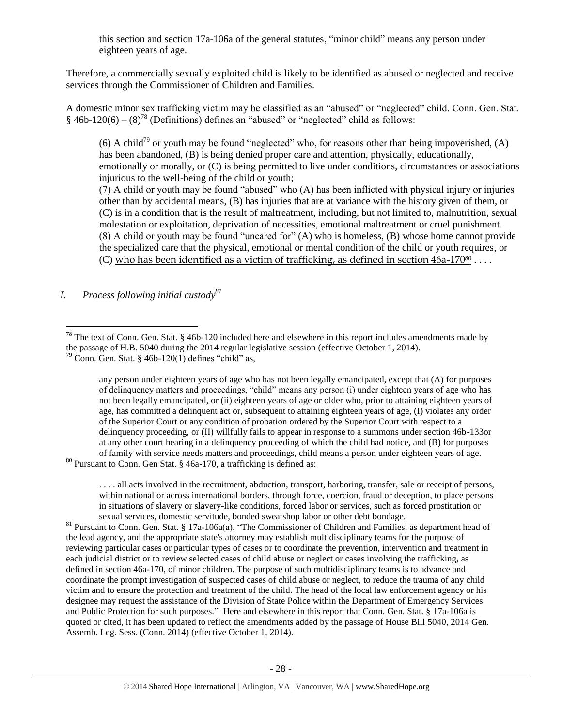this section and section 17a-106a of the general statutes, "minor child" means any person under eighteen years of age.

Therefore, a commercially sexually exploited child is likely to be identified as abused or neglected and receive services through the Commissioner of Children and Families.

A domestic minor sex trafficking victim may be classified as an "abused" or "neglected" child. Conn. Gen. Stat.  $§$  46b-120(6) – (8)<sup>78</sup> (Definitions) defines an "abused" or "neglected" child as follows:

<span id="page-27-0"></span>(6) A child<sup>79</sup> or youth may be found "neglected" who, for reasons other than being impoverished, (A) has been abandoned, (B) is being denied proper care and attention, physically, educationally, emotionally or morally, or (C) is being permitted to live under conditions, circumstances or associations injurious to the well-being of the child or youth;

(7) A child or youth may be found "abused" who (A) has been inflicted with physical injury or injuries other than by accidental means, (B) has injuries that are at variance with the history given of them, or (C) is in a condition that is the result of maltreatment, including, but not limited to, malnutrition, sexual molestation or exploitation, deprivation of necessities, emotional maltreatment or cruel punishment. (8) A child or youth may be found "uncared for" (A) who is homeless, (B) whose home cannot provide the specialized care that the physical, emotional or mental condition of the child or youth requires, or (C) who has been identified as a victim of trafficking, as defined in section  $46a-17080...$ 

*I. Process following initial custody<sup>81</sup>*

 $\overline{a}$ 

any person under eighteen years of age who has not been legally emancipated, except that (A) for purposes of delinquency matters and proceedings, "child" means any person (i) under eighteen years of age who has not been legally emancipated, or (ii) eighteen years of age or older who, prior to attaining eighteen years of age, has committed a delinquent act or, subsequent to attaining eighteen years of age, (I) violates any order of the Superior Court or any condition of probation ordered by the Superior Court with respect to a delinquency proceeding, or (II) willfully fails to appear in response to a summons under section 46b-133or at any other court hearing in a delinquency proceeding of which the child had notice, and (B) for purposes of family with service needs matters and proceedings, child means a person under eighteen years of age.

 $80$  Pursuant to Conn. Gen Stat. § 46a-170, a trafficking is defined as:

. . . . all acts involved in the recruitment, abduction, transport, harboring, transfer, sale or receipt of persons, within national or across international borders, through force, coercion, fraud or deception, to place persons in situations of slavery or slavery-like conditions, forced labor or services, such as forced prostitution or sexual services, domestic servitude, bonded sweatshop labor or other debt bondage.

<sup>81</sup> Pursuant to Conn. Gen. Stat. § 17a-106a(a), "The Commissioner of Children and Families, as department head of the lead agency, and the appropriate state's attorney may establish multidisciplinary teams for the purpose of reviewing particular cases or particular types of cases or to coordinate the prevention, intervention and treatment in each judicial district or to review selected cases of child abuse or neglect or cases involving the trafficking, as defined in section 46a-170, of minor children. The purpose of such multidisciplinary teams is to advance and coordinate the prompt investigation of suspected cases of child abuse or neglect, to reduce the trauma of any child victim and to ensure the protection and treatment of the child. The head of the local law enforcement agency or his designee may request the assistance of the Division of State Police within the Department of Emergency Services and Public Protection for such purposes." Here and elsewhere in this report that Conn. Gen. Stat. § 17a-106a is quoted or cited, it has been updated to reflect the amendments added by the passage of House Bill 5040, 2014 Gen. Assemb. Leg. Sess. (Conn. 2014) (effective October 1, 2014).

<sup>&</sup>lt;sup>78</sup> The text of Conn. Gen. Stat. § 46b-120 included here and elsewhere in this report includes amendments made by the passage of H.B. 5040 during the 2014 regular legislative session (effective October 1, 2014).

 $79$  Conn. Gen. Stat. § 46b-120(1) defines "child" as,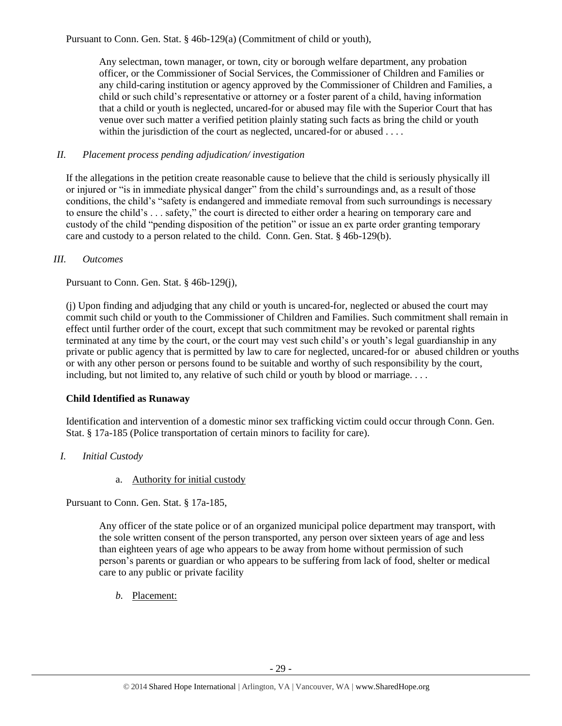Pursuant to Conn. Gen. Stat. § 46b-129(a) (Commitment of child or youth),

Any selectman, town manager, or town, city or borough welfare department, any probation officer, or the Commissioner of Social Services, the Commissioner of Children and Families or any child-caring institution or agency approved by the Commissioner of Children and Families, a child or such child's representative or attorney or a foster parent of a child, having information that a child or youth is neglected, uncared-for or abused may file with the Superior Court that has venue over such matter a verified petition plainly stating such facts as bring the child or youth within the jurisdiction of the court as neglected, uncared-for or abused . . . .

## *II. Placement process pending adjudication/ investigation*

If the allegations in the petition create reasonable cause to believe that the child is seriously physically ill or injured or "is in immediate physical danger" from the child's surroundings and, as a result of those conditions, the child's "safety is endangered and immediate removal from such surroundings is necessary to ensure the child's . . . safety," the court is directed to either order a hearing on temporary care and custody of the child "pending disposition of the petition" or issue an ex parte order granting temporary care and custody to a person related to the child. Conn. Gen. Stat. § 46b-129(b).

#### *III. Outcomes*

Pursuant to Conn. Gen. Stat. § 46b-129(j),

(j) Upon finding and adjudging that any child or youth is uncared-for, neglected or abused the court may commit such child or youth to the Commissioner of Children and Families. Such commitment shall remain in effect until further order of the court, except that such commitment may be revoked or parental rights terminated at any time by the court, or the court may vest such child's or youth's legal guardianship in any private or public agency that is permitted by law to care for neglected, uncared-for or abused children or youths or with any other person or persons found to be suitable and worthy of such responsibility by the court, including, but not limited to, any relative of such child or youth by blood or marriage. . . .

# **Child Identified as Runaway**

Identification and intervention of a domestic minor sex trafficking victim could occur through Conn. Gen. Stat. § 17a-185 (Police transportation of certain minors to facility for care).

- *I. Initial Custody* 
	- a. Authority for initial custody

Pursuant to Conn. Gen. Stat. § 17a-185,

Any officer of the state police or of an organized municipal police department may transport, with the sole written consent of the person transported, any person over sixteen years of age and less than eighteen years of age who appears to be away from home without permission of such person's parents or guardian or who appears to be suffering from lack of food, shelter or medical care to any public or private facility

*b.* Placement: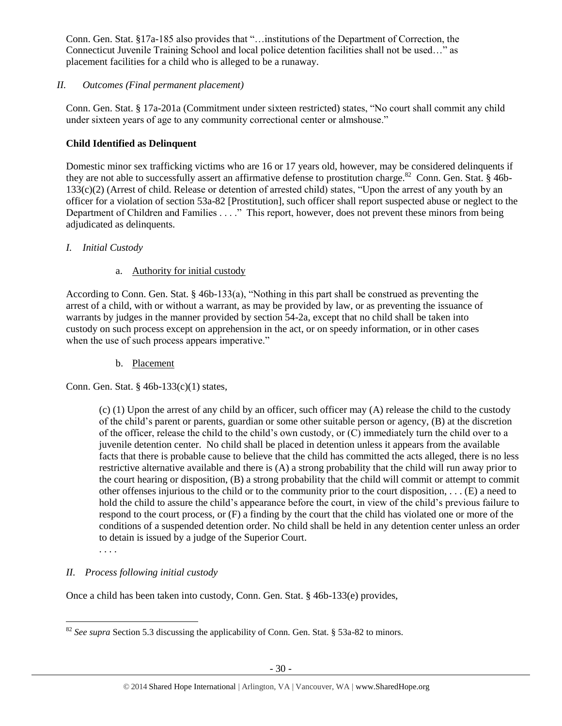Conn. Gen. Stat. §17a-185 also provides that "…institutions of the Department of Correction, the Connecticut Juvenile Training School and local police detention facilities shall not be used…" as placement facilities for a child who is alleged to be a runaway.

# *II. Outcomes (Final permanent placement)*

Conn. Gen. Stat. § 17a-201a (Commitment under sixteen restricted) states, "No court shall commit any child under sixteen years of age to any community correctional center or almshouse."

# **Child Identified as Delinquent**

Domestic minor sex trafficking victims who are 16 or 17 years old, however, may be considered delinquents if they are not able to successfully assert an affirmative defense to prostitution charge.<sup>82</sup> Conn. Gen. Stat. § 46b-133(c)(2) (Arrest of child. Release or detention of arrested child) states, "Upon the arrest of any youth by an officer for a violation of section 53a-82 [Prostitution], such officer shall report suspected abuse or neglect to the Department of Children and Families . . . ." This report, however, does not prevent these minors from being adjudicated as delinquents.

# *I. Initial Custody*

# a. Authority for initial custody

According to Conn. Gen. Stat. § 46b-133(a), "Nothing in this part shall be construed as preventing the arrest of a child, with or without a warrant, as may be provided by law, or as preventing the issuance of warrants by judges in the manner provided by section 54-2a, except that no child shall be taken into custody on such process except on apprehension in the act, or on speedy information, or in other cases when the use of such process appears imperative."

b. Placement

Conn. Gen. Stat. § 46b-133(c)(1) states,

(c) (1) Upon the arrest of any child by an officer, such officer may (A) release the child to the custody of the child's parent or parents, guardian or some other suitable person or agency, (B) at the discretion of the officer, release the child to the child's own custody, or (C) immediately turn the child over to a juvenile detention center. No child shall be placed in detention unless it appears from the available facts that there is probable cause to believe that the child has committed the acts alleged, there is no less restrictive alternative available and there is (A) a strong probability that the child will run away prior to the court hearing or disposition, (B) a strong probability that the child will commit or attempt to commit other offenses injurious to the child or to the community prior to the court disposition, . . . (E) a need to hold the child to assure the child's appearance before the court, in view of the child's previous failure to respond to the court process, or (F) a finding by the court that the child has violated one or more of the conditions of a suspended detention order. No child shall be held in any detention center unless an order to detain is issued by a judge of the Superior Court.

. . . .

# *II. Process following initial custody*

Once a child has been taken into custody, Conn. Gen. Stat. § 46b-133(e) provides,

 $\overline{a}$ <sup>82</sup> *See supra* Section 5.3 discussing the applicability of Conn. Gen. Stat. § 53a-82 to minors.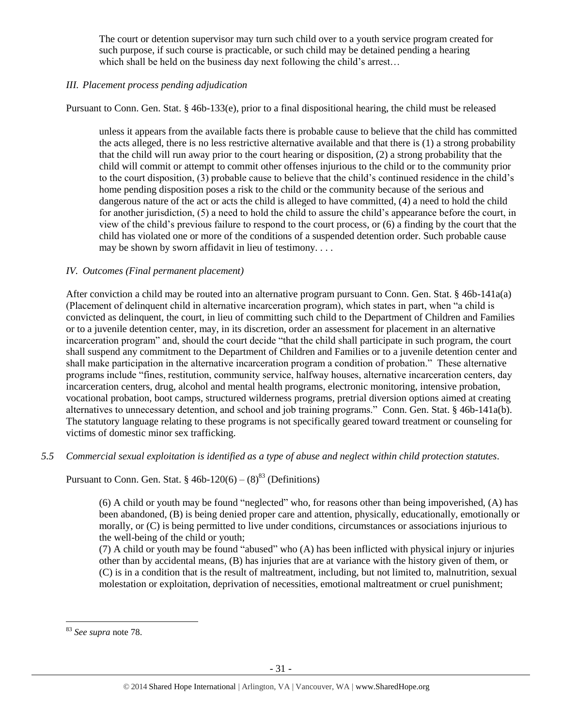The court or detention supervisor may turn such child over to a youth service program created for such purpose, if such course is practicable, or such child may be detained pending a hearing which shall be held on the business day next following the child's arrest...

# *III. Placement process pending adjudication*

Pursuant to Conn. Gen. Stat. § 46b-133(e), prior to a final dispositional hearing, the child must be released

unless it appears from the available facts there is probable cause to believe that the child has committed the acts alleged, there is no less restrictive alternative available and that there is (1) a strong probability that the child will run away prior to the court hearing or disposition, (2) a strong probability that the child will commit or attempt to commit other offenses injurious to the child or to the community prior to the court disposition, (3) probable cause to believe that the child's continued residence in the child's home pending disposition poses a risk to the child or the community because of the serious and dangerous nature of the act or acts the child is alleged to have committed, (4) a need to hold the child for another jurisdiction, (5) a need to hold the child to assure the child's appearance before the court, in view of the child's previous failure to respond to the court process, or (6) a finding by the court that the child has violated one or more of the conditions of a suspended detention order. Such probable cause may be shown by sworn affidavit in lieu of testimony. . . .

# *IV. Outcomes (Final permanent placement)*

After conviction a child may be routed into an alternative program pursuant to Conn. Gen. Stat. § 46b-141a(a) (Placement of delinquent child in alternative incarceration program), which states in part, when "a child is convicted as delinquent, the court, in lieu of committing such child to the Department of Children and Families or to a juvenile detention center, may, in its discretion, order an assessment for placement in an alternative incarceration program" and, should the court decide "that the child shall participate in such program, the court shall suspend any commitment to the Department of Children and Families or to a juvenile detention center and shall make participation in the alternative incarceration program a condition of probation." These alternative programs include "fines, restitution, community service, halfway houses, alternative incarceration centers, day incarceration centers, drug, alcohol and mental health programs, electronic monitoring, intensive probation, vocational probation, boot camps, structured wilderness programs, pretrial diversion options aimed at creating alternatives to unnecessary detention, and school and job training programs." Conn. Gen. Stat. § 46b-141a(b). The statutory language relating to these programs is not specifically geared toward treatment or counseling for victims of domestic minor sex trafficking.

# *5.5 Commercial sexual exploitation is identified as a type of abuse and neglect within child protection statutes.*

Pursuant to Conn. Gen. Stat. §  $46b-120(6) - (8)^{83}$  (Definitions)

(6) A child or youth may be found "neglected" who, for reasons other than being impoverished, (A) has been abandoned, (B) is being denied proper care and attention, physically, educationally, emotionally or morally, or (C) is being permitted to live under conditions, circumstances or associations injurious to the well-being of the child or youth;

(7) A child or youth may be found "abused" who (A) has been inflicted with physical injury or injuries other than by accidental means, (B) has injuries that are at variance with the history given of them, or (C) is in a condition that is the result of maltreatment, including, but not limited to, malnutrition, sexual molestation or exploitation, deprivation of necessities, emotional maltreatment or cruel punishment;

<sup>83</sup> *See supra* note [78.](#page-27-0)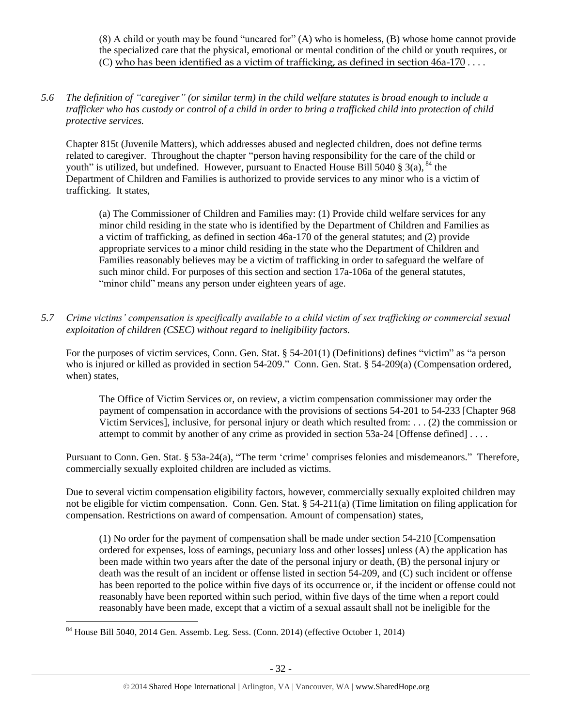(8) A child or youth may be found "uncared for" (A) who is homeless, (B) whose home cannot provide the specialized care that the physical, emotional or mental condition of the child or youth requires, or (C) who has been identified as a victim of trafficking, as defined in section 46a-170 . . . .

*5.6 The definition of "caregiver" (or similar term) in the child welfare statutes is broad enough to include a trafficker who has custody or control of a child in order to bring a trafficked child into protection of child protective services.*

Chapter 815t (Juvenile Matters), which addresses abused and neglected children, does not define terms related to caregiver. Throughout the chapter "person having responsibility for the care of the child or youth" is utilized, but undefined. However, pursuant to Enacted House Bill 5040 § 3(a), <sup>84</sup> the Department of Children and Families is authorized to provide services to any minor who is a victim of trafficking. It states,

(a) The Commissioner of Children and Families may: (1) Provide child welfare services for any minor child residing in the state who is identified by the Department of Children and Families as a victim of trafficking, as defined in section 46a-170 of the general statutes; and (2) provide appropriate services to a minor child residing in the state who the Department of Children and Families reasonably believes may be a victim of trafficking in order to safeguard the welfare of such minor child. For purposes of this section and section 17a-106a of the general statutes, "minor child" means any person under eighteen years of age.

*5.7 Crime victims' compensation is specifically available to a child victim of sex trafficking or commercial sexual exploitation of children (CSEC) without regard to ineligibility factors.*

For the purposes of victim services, Conn. Gen. Stat. § 54-201(1) (Definitions) defines "victim" as "a person who is injured or killed as provided in section 54-209." Conn. Gen. Stat. § 54-209(a) (Compensation ordered, when) states,

The Office of Victim Services or, on review, a victim compensation commissioner may order the payment of compensation in accordance with the provisions of sections 54-201 to 54-233 [Chapter 968 Victim Services], inclusive, for personal injury or death which resulted from: . . . (2) the commission or attempt to commit by another of any crime as provided in section 53a-24 [Offense defined] ....

Pursuant to Conn. Gen. Stat. § 53a-24(a), "The term 'crime' comprises felonies and misdemeanors." Therefore, commercially sexually exploited children are included as victims.

Due to several victim compensation eligibility factors, however, commercially sexually exploited children may not be eligible for victim compensation. Conn. Gen. Stat. § 54-211(a) (Time limitation on filing application for compensation. Restrictions on award of compensation. Amount of compensation) states,

(1) No order for the payment of compensation shall be made under section 54-210 [Compensation ordered for expenses, loss of earnings, pecuniary loss and other losses] unless (A) the application has been made within two years after the date of the personal injury or death, (B) the personal injury or death was the result of an incident or offense listed in section 54-209, and (C) such incident or offense has been reported to the police within five days of its occurrence or, if the incident or offense could not reasonably have been reported within such period, within five days of the time when a report could reasonably have been made, except that a victim of a sexual assault shall not be ineligible for the

 $\overline{a}$  $84$  House Bill 5040, 2014 Gen. Assemb. Leg. Sess. (Conn. 2014) (effective October 1, 2014)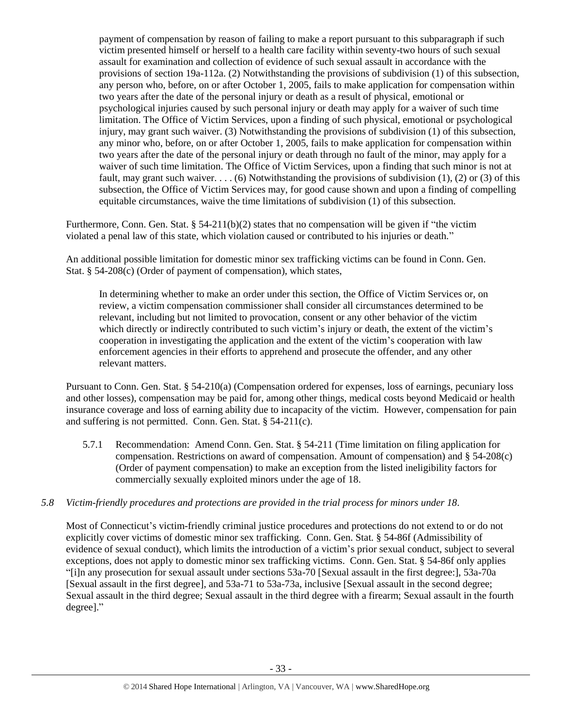payment of compensation by reason of failing to make a report pursuant to this subparagraph if such victim presented himself or herself to a health care facility within seventy-two hours of such sexual assault for examination and collection of evidence of such sexual assault in accordance with the provisions of section 19a-112a. (2) Notwithstanding the provisions of subdivision (1) of this subsection, any person who, before, on or after October 1, 2005, fails to make application for compensation within two years after the date of the personal injury or death as a result of physical, emotional or psychological injuries caused by such personal injury or death may apply for a waiver of such time limitation. The Office of Victim Services, upon a finding of such physical, emotional or psychological injury, may grant such waiver. (3) Notwithstanding the provisions of subdivision (1) of this subsection, any minor who, before, on or after October 1, 2005, fails to make application for compensation within two years after the date of the personal injury or death through no fault of the minor, may apply for a waiver of such time limitation. The Office of Victim Services, upon a finding that such minor is not at fault, may grant such waiver. . . . (6) Notwithstanding the provisions of subdivision  $(1)$ ,  $(2)$  or  $(3)$  of this subsection, the Office of Victim Services may, for good cause shown and upon a finding of compelling equitable circumstances, waive the time limitations of subdivision (1) of this subsection.

Furthermore, Conn. Gen. Stat. § 54-211(b)(2) states that no compensation will be given if "the victim" violated a penal law of this state, which violation caused or contributed to his injuries or death."

An additional possible limitation for domestic minor sex trafficking victims can be found in Conn. Gen. Stat. § 54-208(c) (Order of payment of compensation), which states,

In determining whether to make an order under this section, the Office of Victim Services or, on review, a victim compensation commissioner shall consider all circumstances determined to be relevant, including but not limited to provocation, consent or any other behavior of the victim which directly or indirectly contributed to such victim's injury or death, the extent of the victim's cooperation in investigating the application and the extent of the victim's cooperation with law enforcement agencies in their efforts to apprehend and prosecute the offender, and any other relevant matters.

Pursuant to Conn. Gen. Stat. § 54-210(a) (Compensation ordered for expenses, loss of earnings, pecuniary loss and other losses), compensation may be paid for, among other things, medical costs beyond Medicaid or health insurance coverage and loss of earning ability due to incapacity of the victim. However, compensation for pain and suffering is not permitted. Conn. Gen. Stat. § 54-211(c).

5.7.1 Recommendation: Amend Conn. Gen. Stat. § 54-211 (Time limitation on filing application for compensation. Restrictions on award of compensation. Amount of compensation) and § 54-208(c) (Order of payment compensation) to make an exception from the listed ineligibility factors for commercially sexually exploited minors under the age of 18.

# *5.8 Victim-friendly procedures and protections are provided in the trial process for minors under 18.*

Most of Connecticut's victim-friendly criminal justice procedures and protections do not extend to or do not explicitly cover victims of domestic minor sex trafficking. Conn. Gen. Stat. § 54-86f (Admissibility of evidence of sexual conduct), which limits the introduction of a victim's prior sexual conduct, subject to several exceptions, does not apply to domestic minor sex trafficking victims. Conn. Gen. Stat. § 54-86f only applies "[i]n any prosecution for sexual assault under sections 53a-70 [Sexual assault in the first degree:], 53a-70a [Sexual assault in the first degree], and 53a-71 to 53a-73a, inclusive [Sexual assault in the second degree; Sexual assault in the third degree; Sexual assault in the third degree with a firearm; Sexual assault in the fourth degree]."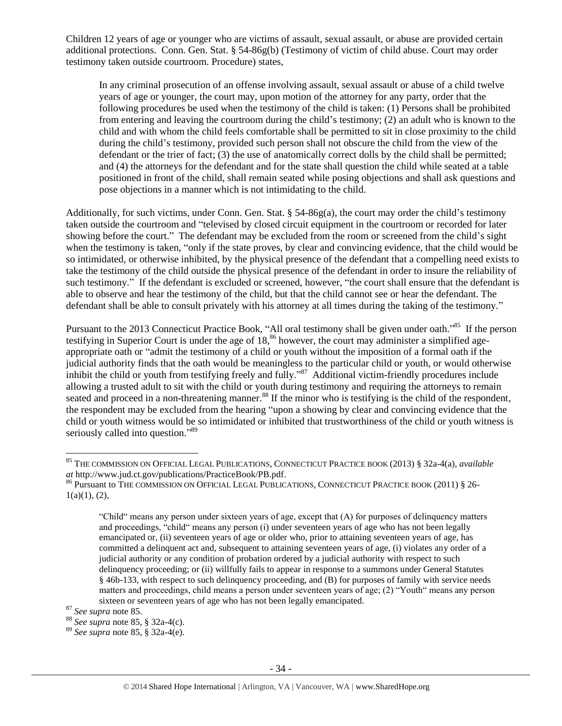Children 12 years of age or younger who are victims of assault, sexual assault, or abuse are provided certain additional protections. Conn. Gen. Stat. § 54-86g(b) (Testimony of victim of child abuse. Court may order testimony taken outside courtroom. Procedure) states,

In any criminal prosecution of an offense involving assault, sexual assault or abuse of a child twelve years of age or younger, the court may, upon motion of the attorney for any party, order that the following procedures be used when the testimony of the child is taken: (1) Persons shall be prohibited from entering and leaving the courtroom during the child's testimony; (2) an adult who is known to the child and with whom the child feels comfortable shall be permitted to sit in close proximity to the child during the child's testimony, provided such person shall not obscure the child from the view of the defendant or the trier of fact; (3) the use of anatomically correct dolls by the child shall be permitted; and (4) the attorneys for the defendant and for the state shall question the child while seated at a table positioned in front of the child, shall remain seated while posing objections and shall ask questions and pose objections in a manner which is not intimidating to the child.

Additionally, for such victims, under Conn. Gen. Stat. § 54-86g(a), the court may order the child's testimony taken outside the courtroom and "televised by closed circuit equipment in the courtroom or recorded for later showing before the court." The defendant may be excluded from the room or screened from the child's sight when the testimony is taken, "only if the state proves, by clear and convincing evidence, that the child would be so intimidated, or otherwise inhibited, by the physical presence of the defendant that a compelling need exists to take the testimony of the child outside the physical presence of the defendant in order to insure the reliability of such testimony." If the defendant is excluded or screened, however, "the court shall ensure that the defendant is able to observe and hear the testimony of the child, but that the child cannot see or hear the defendant. The defendant shall be able to consult privately with his attorney at all times during the taking of the testimony."

<span id="page-33-1"></span><span id="page-33-0"></span>Pursuant to the 2013 Connecticut Practice Book, "All oral testimony shall be given under oath."<sup>85</sup> If the person testifying in Superior Court is under the age of 18,<sup>86</sup> however, the court may administer a simplified ageappropriate oath or "admit the testimony of a child or youth without the imposition of a formal oath if the judicial authority finds that the oath would be meaningless to the particular child or youth, or would otherwise inhibit the child or youth from testifying freely and fully."<sup>87</sup> Additional victim-friendly procedures include allowing a trusted adult to sit with the child or youth during testimony and requiring the attorneys to remain seated and proceed in a non-threatening manner.<sup>88</sup> If the minor who is testifying is the child of the respondent. the respondent may be excluded from the hearing "upon a showing by clear and convincing evidence that the child or youth witness would be so intimidated or inhibited that trustworthiness of the child or youth witness is seriously called into question."<sup>89</sup>

<sup>85</sup> THE COMMISSION ON OFFICIAL LEGAL PUBLICATIONS, CONNECTICUT PRACTICE BOOK (2013) § 32a-4(a), *available at* http://www.jud.ct.gov/publications/PracticeBook/PB.pdf.

<sup>86</sup> Pursuant to THE COMMISSION ON OFFICIAL LEGAL PUBLICATIONS, CONNECTICUT PRACTICE BOOK (2011) § 26- $1(a)(1), (2),$ 

<sup>&</sup>quot;Child" means any person under sixteen years of age, except that (A) for purposes of delinquency matters and proceedings, "child" means any person (i) under seventeen years of age who has not been legally emancipated or, (ii) seventeen years of age or older who, prior to attaining seventeen years of age, has committed a delinquent act and, subsequent to attaining seventeen years of age, (i) violates any order of a judicial authority or any condition of probation ordered by a judicial authority with respect to such delinquency proceeding; or (ii) willfully fails to appear in response to a summons under General Statutes § 46b-133, with respect to such delinquency proceeding, and (B) for purposes of family with service needs matters and proceedings, child means a person under seventeen years of age; (2) "Youth" means any person sixteen or seventeen years of age who has not been legally emancipated.

<sup>87</sup> *See supra* note [85.](#page-33-0)

<sup>88</sup> *See supra* note [85,](#page-33-1) § 32a-4(c).

<sup>89</sup> *See supra* note [85,](#page-33-1) § 32a-4(e).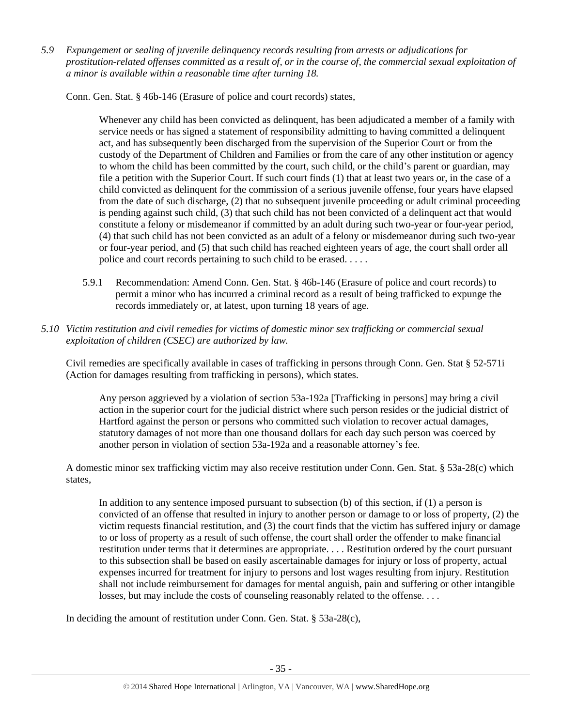*5.9 Expungement or sealing of juvenile delinquency records resulting from arrests or adjudications for prostitution-related offenses committed as a result of, or in the course of, the commercial sexual exploitation of a minor is available within a reasonable time after turning 18.*

Conn. Gen. Stat. § 46b-146 (Erasure of police and court records) states,

Whenever any child has been convicted as delinquent, has been adjudicated a member of a family with service needs or has signed a statement of responsibility admitting to having committed a delinquent act, and has subsequently been discharged from the supervision of the Superior Court or from the custody of the Department of Children and Families or from the care of any other institution or agency to whom the child has been committed by the court, such child, or the child's parent or guardian, may file a petition with the Superior Court. If such court finds (1) that at least two years or, in the case of a child convicted as delinquent for the commission of a serious juvenile offense, four years have elapsed from the date of such discharge, (2) that no subsequent juvenile proceeding or adult criminal proceeding is pending against such child, (3) that such child has not been convicted of a delinquent act that would constitute a felony or misdemeanor if committed by an adult during such two-year or four-year period, (4) that such child has not been convicted as an adult of a felony or misdemeanor during such two-year or four-year period, and (5) that such child has reached eighteen years of age, the court shall order all police and court records pertaining to such child to be erased. . . . .

- 5.9.1 Recommendation: Amend Conn. Gen. Stat. § 46b-146 (Erasure of police and court records) to permit a minor who has incurred a criminal record as a result of being trafficked to expunge the records immediately or, at latest, upon turning 18 years of age.
- *5.10 Victim restitution and civil remedies for victims of domestic minor sex trafficking or commercial sexual exploitation of children (CSEC) are authorized by law.*

Civil remedies are specifically available in cases of trafficking in persons through Conn. Gen. Stat § 52-571i (Action for damages resulting from trafficking in persons), which states.

Any person aggrieved by a violation of section 53a-192a [Trafficking in persons] may bring a civil action in the superior court for the judicial district where such person resides or the judicial district of Hartford against the person or persons who committed such violation to recover actual damages, statutory damages of not more than one thousand dollars for each day such person was coerced by another person in violation of section 53a-192a and a reasonable attorney's fee.

A domestic minor sex trafficking victim may also receive restitution under Conn. Gen. Stat. § 53a-28(c) which states,

In addition to any sentence imposed pursuant to subsection (b) of this section, if (1) a person is convicted of an offense that resulted in injury to another person or damage to or loss of property, (2) the victim requests financial restitution, and (3) the court finds that the victim has suffered injury or damage to or loss of property as a result of such offense, the court shall order the offender to make financial restitution under terms that it determines are appropriate. . . . Restitution ordered by the court pursuant to this subsection shall be based on easily ascertainable damages for injury or loss of property, actual expenses incurred for treatment for injury to persons and lost wages resulting from injury. Restitution shall not include reimbursement for damages for mental anguish, pain and suffering or other intangible losses, but may include the costs of counseling reasonably related to the offense. . . .

In deciding the amount of restitution under Conn. Gen. Stat. § 53a-28(c),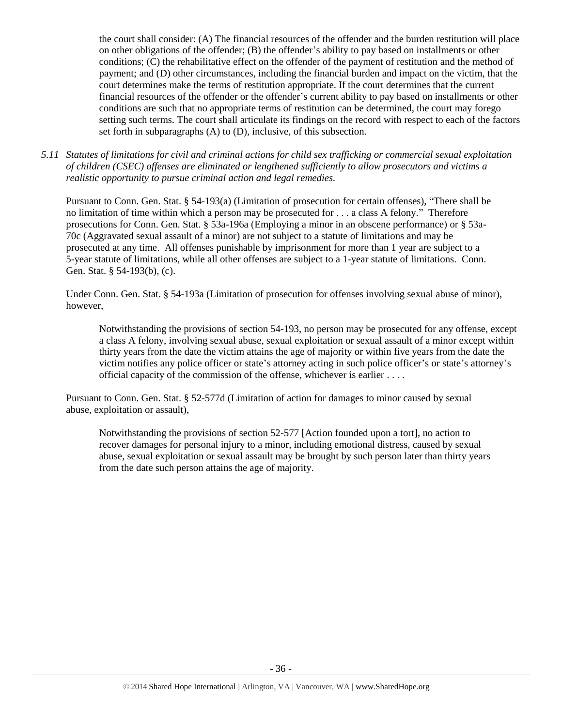the court shall consider: (A) The financial resources of the offender and the burden restitution will place on other obligations of the offender; (B) the offender's ability to pay based on installments or other conditions; (C) the rehabilitative effect on the offender of the payment of restitution and the method of payment; and (D) other circumstances, including the financial burden and impact on the victim, that the court determines make the terms of restitution appropriate. If the court determines that the current financial resources of the offender or the offender's current ability to pay based on installments or other conditions are such that no appropriate terms of restitution can be determined, the court may forego setting such terms. The court shall articulate its findings on the record with respect to each of the factors set forth in subparagraphs (A) to (D), inclusive, of this subsection.

*5.11 Statutes of limitations for civil and criminal actions for child sex trafficking or commercial sexual exploitation of children (CSEC) offenses are eliminated or lengthened sufficiently to allow prosecutors and victims a realistic opportunity to pursue criminal action and legal remedies.*

Pursuant to Conn. Gen. Stat. § 54-193(a) (Limitation of prosecution for certain offenses), "There shall be no limitation of time within which a person may be prosecuted for . . . a class A felony." Therefore prosecutions for Conn. Gen. Stat. § 53a-196a (Employing a minor in an obscene performance) or § 53a-70c (Aggravated sexual assault of a minor) are not subject to a statute of limitations and may be prosecuted at any time. All offenses punishable by imprisonment for more than 1 year are subject to a 5-year statute of limitations, while all other offenses are subject to a 1-year statute of limitations. Conn. Gen. Stat. § 54-193(b), (c).

Under Conn. Gen. Stat. § 54-193a (Limitation of prosecution for offenses involving sexual abuse of minor), however,

Notwithstanding the provisions of section 54-193, no person may be prosecuted for any offense, except a class A felony, involving sexual abuse, sexual exploitation or sexual assault of a minor except within thirty years from the date the victim attains the age of majority or within five years from the date the victim notifies any police officer or state's attorney acting in such police officer's or state's attorney's official capacity of the commission of the offense, whichever is earlier . . . .

Pursuant to Conn. Gen. Stat. § 52-577d (Limitation of action for damages to minor caused by sexual abuse, exploitation or assault),

Notwithstanding the provisions of section 52-577 [Action founded upon a tort], no action to recover damages for personal injury to a minor, including emotional distress, caused by sexual abuse, sexual exploitation or sexual assault may be brought by such person later than thirty years from the date such person attains the age of majority.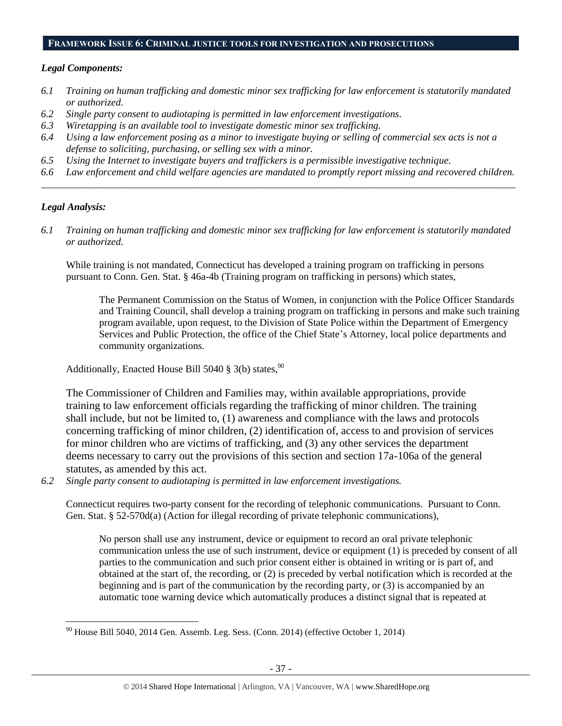#### **FRAMEWORK ISSUE 6: CRIMINAL JUSTICE TOOLS FOR INVESTIGATION AND PROSECUTIONS**

#### *Legal Components:*

- *6.1 Training on human trafficking and domestic minor sex trafficking for law enforcement is statutorily mandated or authorized.*
- *6.2 Single party consent to audiotaping is permitted in law enforcement investigations.*
- *6.3 Wiretapping is an available tool to investigate domestic minor sex trafficking.*
- *6.4 Using a law enforcement posing as a minor to investigate buying or selling of commercial sex acts is not a defense to soliciting, purchasing, or selling sex with a minor.*
- *6.5 Using the Internet to investigate buyers and traffickers is a permissible investigative technique.*
- *6.6 Law enforcement and child welfare agencies are mandated to promptly report missing and recovered children. \_\_\_\_\_\_\_\_\_\_\_\_\_\_\_\_\_\_\_\_\_\_\_\_\_\_\_\_\_\_\_\_\_\_\_\_\_\_\_\_\_\_\_\_\_\_\_\_\_\_\_\_\_\_\_\_\_\_\_\_\_\_\_\_\_\_\_\_\_\_\_\_\_\_\_\_\_\_\_\_\_\_\_\_\_\_\_\_\_\_\_\_\_\_*

# *Legal Analysis:*

 $\overline{a}$ 

*6.1 Training on human trafficking and domestic minor sex trafficking for law enforcement is statutorily mandated or authorized.*

While training is not mandated, Connecticut has developed a training program on trafficking in persons pursuant to Conn. Gen. Stat. § 46a-4b (Training program on trafficking in persons) which states,

The Permanent Commission on the Status of Women, in conjunction with the Police Officer Standards and Training Council, shall develop a training program on trafficking in persons and make such training program available, upon request, to the Division of State Police within the Department of Emergency Services and Public Protection, the office of the Chief State's Attorney, local police departments and community organizations.

Additionally, Enacted House Bill 5040  $\S$  3(b) states, <sup>90</sup>

The Commissioner of Children and Families may, within available appropriations, provide training to law enforcement officials regarding the trafficking of minor children. The training shall include, but not be limited to, (1) awareness and compliance with the laws and protocols concerning trafficking of minor children, (2) identification of, access to and provision of services for minor children who are victims of trafficking, and (3) any other services the department deems necessary to carry out the provisions of this section and section 17a-106a of the general statutes, as amended by this act.

*6.2 Single party consent to audiotaping is permitted in law enforcement investigations.*

Connecticut requires two-party consent for the recording of telephonic communications. Pursuant to Conn. Gen. Stat. § 52-570d(a) (Action for illegal recording of private telephonic communications),

No person shall use any instrument, device or equipment to record an oral private telephonic communication unless the use of such instrument, device or equipment (1) is preceded by consent of all parties to the communication and such prior consent either is obtained in writing or is part of, and obtained at the start of, the recording, or (2) is preceded by verbal notification which is recorded at the beginning and is part of the communication by the recording party, or (3) is accompanied by an automatic tone warning device which automatically produces a distinct signal that is repeated at

 $90$  House Bill 5040, 2014 Gen. Assemb. Leg. Sess. (Conn. 2014) (effective October 1, 2014)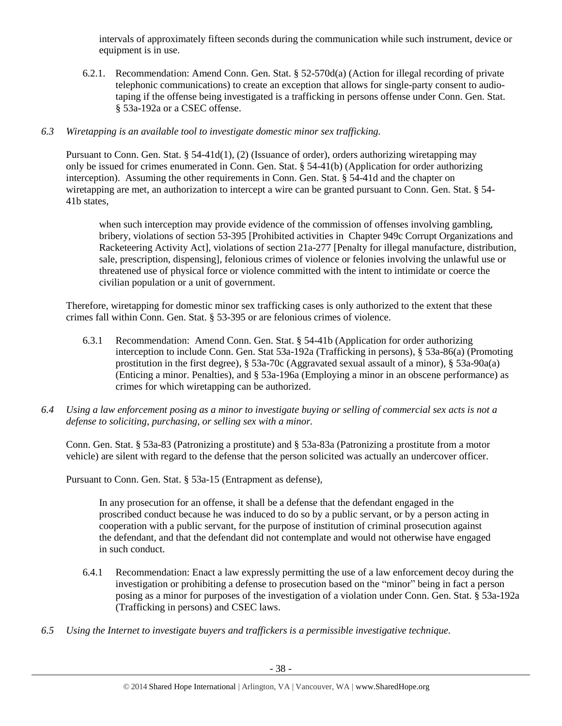intervals of approximately fifteen seconds during the communication while such instrument, device or equipment is in use.

6.2.1. Recommendation: Amend Conn. Gen. Stat. § 52-570d(a) (Action for illegal recording of private telephonic communications) to create an exception that allows for single-party consent to audiotaping if the offense being investigated is a trafficking in persons offense under Conn. Gen. Stat. § 53a-192a or a CSEC offense.

# *6.3 Wiretapping is an available tool to investigate domestic minor sex trafficking.*

Pursuant to Conn. Gen. Stat. § 54-41d(1), (2) (Issuance of order), orders authorizing wiretapping may only be issued for crimes enumerated in Conn. Gen. Stat. § 54-41(b) (Application for order authorizing interception). Assuming the other requirements in Conn. Gen. Stat. § 54-41d and the chapter on wiretapping are met, an authorization to intercept a wire can be granted pursuant to Conn. Gen. Stat. § 54- 41b states,

when such interception may provide evidence of the commission of offenses involving gambling, bribery, violations of section 53-395 [Prohibited activities in Chapter 949c Corrupt Organizations and Racketeering Activity Act], violations of section 21a-277 [Penalty for illegal manufacture, distribution, sale, prescription, dispensing], felonious crimes of violence or felonies involving the unlawful use or threatened use of physical force or violence committed with the intent to intimidate or coerce the civilian population or a unit of government.

Therefore, wiretapping for domestic minor sex trafficking cases is only authorized to the extent that these crimes fall within Conn. Gen. Stat. § 53-395 or are felonious crimes of violence.

- 6.3.1 Recommendation: Amend Conn. Gen. Stat. § 54-41b (Application for order authorizing interception to include Conn. Gen. Stat 53a-192a (Trafficking in persons), § 53a-86(a) (Promoting prostitution in the first degree), § 53a-70c (Aggravated sexual assault of a minor), § 53a-90a(a) (Enticing a minor. Penalties), and § 53a-196a (Employing a minor in an obscene performance) as crimes for which wiretapping can be authorized.
- *6.4 Using a law enforcement posing as a minor to investigate buying or selling of commercial sex acts is not a defense to soliciting, purchasing, or selling sex with a minor.*

Conn. Gen. Stat. § 53a-83 (Patronizing a prostitute) and § 53a-83a (Patronizing a prostitute from a motor vehicle) are silent with regard to the defense that the person solicited was actually an undercover officer.

Pursuant to Conn. Gen. Stat. § 53a-15 (Entrapment as defense),

In any prosecution for an offense, it shall be a defense that the defendant engaged in the proscribed conduct because he was induced to do so by a public servant, or by a person acting in cooperation with a public servant, for the purpose of institution of criminal prosecution against the defendant, and that the defendant did not contemplate and would not otherwise have engaged in such conduct.

- 6.4.1 Recommendation: Enact a law expressly permitting the use of a law enforcement decoy during the investigation or prohibiting a defense to prosecution based on the "minor" being in fact a person posing as a minor for purposes of the investigation of a violation under Conn. Gen. Stat. § 53a-192a (Trafficking in persons) and CSEC laws.
- *6.5 Using the Internet to investigate buyers and traffickers is a permissible investigative technique.*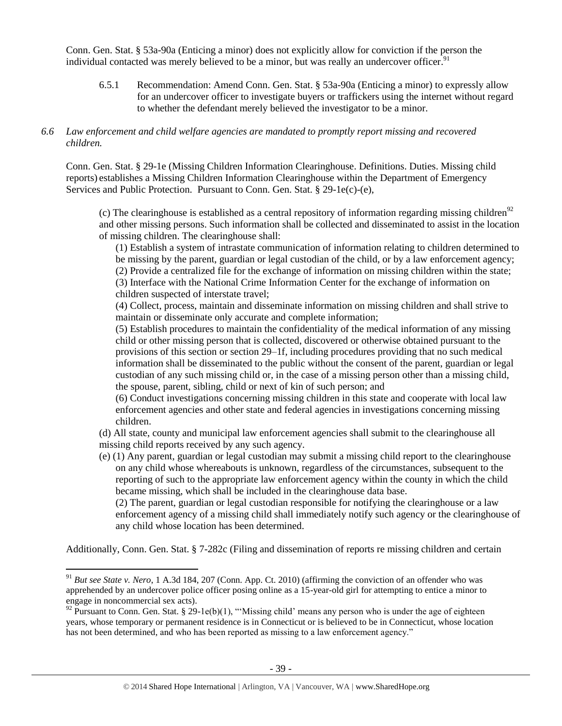Conn. Gen. Stat. § 53a-90a (Enticing a minor) does not explicitly allow for conviction if the person the individual contacted was merely believed to be a minor, but was really an undercover officer.<sup>91</sup>

6.5.1 Recommendation: Amend Conn. Gen. Stat. § 53a-90a (Enticing a minor) to expressly allow for an undercover officer to investigate buyers or traffickers using the internet without regard to whether the defendant merely believed the investigator to be a minor.

## *6.6 Law enforcement and child welfare agencies are mandated to promptly report missing and recovered children.*

Conn. Gen. Stat. § 29-1e (Missing Children Information Clearinghouse. Definitions. Duties. Missing child reports) establishes a Missing Children Information Clearinghouse within the Department of Emergency Services and Public Protection. Pursuant to Conn. Gen. Stat. § 29-1e(c)-(e),

(c) The clearinghouse is established as a central repository of information regarding missing children<sup>92</sup> and other missing persons. Such information shall be collected and disseminated to assist in the location of missing children. The clearinghouse shall:

(1) Establish a system of intrastate communication of information relating to children determined to be missing by the parent, guardian or legal custodian of the child, or by a law enforcement agency; (2) Provide a centralized file for the exchange of information on missing children within the state; (3) Interface with the National Crime Information Center for the exchange of information on children suspected of interstate travel;

(4) Collect, process, maintain and disseminate information on missing children and shall strive to maintain or disseminate only accurate and complete information;

(5) Establish procedures to maintain the confidentiality of the medical information of any missing child or other missing person that is collected, discovered or otherwise obtained pursuant to the provisions of this section or section 29–1f, including procedures providing that no such medical information shall be disseminated to the public without the consent of the parent, guardian or legal custodian of any such missing child or, in the case of a missing person other than a missing child, the spouse, parent, sibling, child or next of kin of such person; and

(6) Conduct investigations concerning missing children in this state and cooperate with local law enforcement agencies and other state and federal agencies in investigations concerning missing children.

(d) All state, county and municipal law enforcement agencies shall submit to the clearinghouse all missing child reports received by any such agency.

(e) (1) Any parent, guardian or legal custodian may submit a missing child report to the clearinghouse on any child whose whereabouts is unknown, regardless of the circumstances, subsequent to the reporting of such to the appropriate law enforcement agency within the county in which the child became missing, which shall be included in the clearinghouse data base.

(2) The parent, guardian or legal custodian responsible for notifying the clearinghouse or a law enforcement agency of a missing child shall immediately notify such agency or the clearinghouse of any child whose location has been determined.

Additionally, Conn. Gen. Stat. § 7-282c (Filing and dissemination of reports re missing children and certain

<sup>&</sup>lt;sup>91</sup> *But see State v. Nero*, 1 A.3d 184, 207 (Conn. App. Ct. 2010) (affirming the conviction of an offender who was apprehended by an undercover police officer posing online as a 15-year-old girl for attempting to entice a minor to engage in noncommercial sex acts).

 $92$  Pursuant to Conn. Gen. Stat. § 29-1e(b)(1), "Missing child' means any person who is under the age of eighteen years, whose temporary or permanent residence is in Connecticut or is believed to be in Connecticut, whose location has not been determined, and who has been reported as missing to a law enforcement agency."